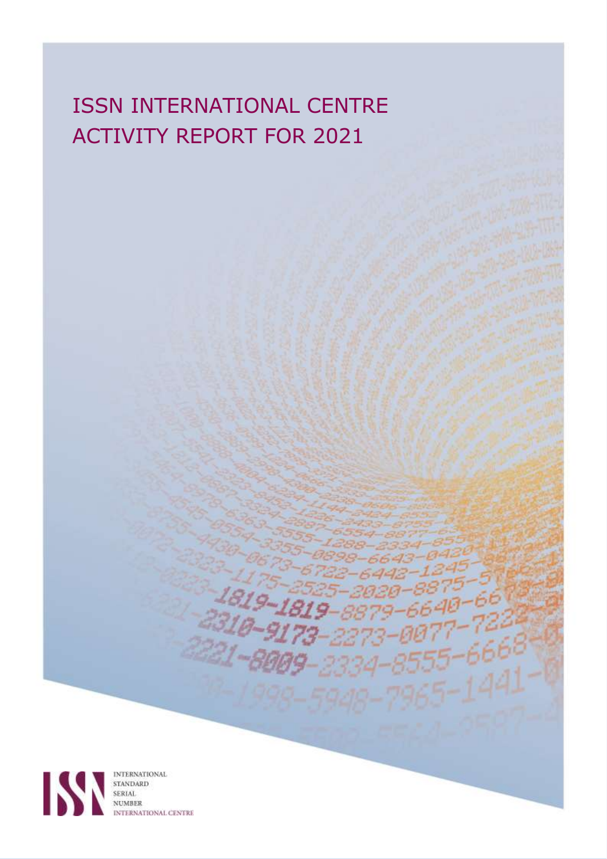# ISSN INTERNATIONAL CENTRE ACTIVITY REPORT FOR 2021

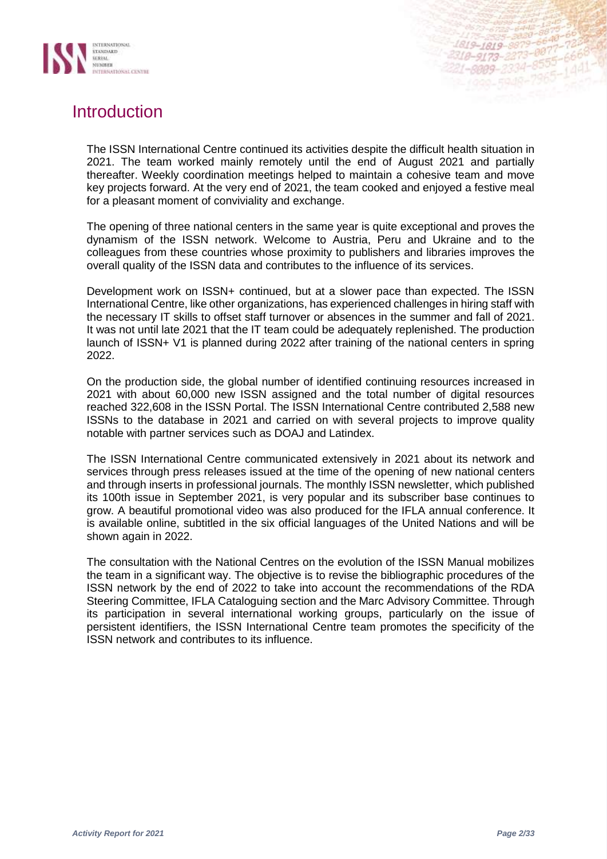

## **Introduction**

The ISSN International Centre continued its activities despite the difficult health situation in 2021. The team worked mainly remotely until the end of August 2021 and partially thereafter. Weekly coordination meetings helped to maintain a cohesive team and move key projects forward. At the very end of 2021, the team cooked and enjoyed a festive meal for a pleasant moment of conviviality and exchange.

The opening of three national centers in the same year is quite exceptional and proves the dynamism of the ISSN network. Welcome to Austria, Peru and Ukraine and to the colleagues from these countries whose proximity to publishers and libraries improves the overall quality of the ISSN data and contributes to the influence of its services.

Development work on ISSN+ continued, but at a slower pace than expected. The ISSN International Centre, like other organizations, has experienced challenges in hiring staff with the necessary IT skills to offset staff turnover or absences in the summer and fall of 2021. It was not until late 2021 that the IT team could be adequately replenished. The production launch of ISSN+ V1 is planned during 2022 after training of the national centers in spring 2022.

On the production side, the global number of identified continuing resources increased in 2021 with about 60,000 new ISSN assigned and the total number of digital resources reached 322,608 in the ISSN Portal. The ISSN International Centre contributed 2,588 new ISSNs to the database in 2021 and carried on with several projects to improve quality notable with partner services such as DOAJ and Latindex.

The ISSN International Centre communicated extensively in 2021 about its network and services through press releases issued at the time of the opening of new national centers and through inserts in professional journals. The monthly ISSN newsletter, which published its 100th issue in September 2021, is very popular and its subscriber base continues to grow. A beautiful promotional video was also produced for the IFLA annual conference. It is available online, subtitled in the six official languages of the United Nations and will be shown again in 2022.

The consultation with the National Centres on the evolution of the ISSN Manual mobilizes the team in a significant way. The objective is to revise the bibliographic procedures of the ISSN network by the end of 2022 to take into account the recommendations of the RDA Steering Committee, IFLA Cataloguing section and the Marc Advisory Committee. Through its participation in several international working groups, particularly on the issue of persistent identifiers, the ISSN International Centre team promotes the specificity of the ISSN network and contributes to its influence.

1819-1819-8879 1819-1819-8879-8877-<br>318-9173-2273-8877-

 $-8999 - 2334$ 

 $-007$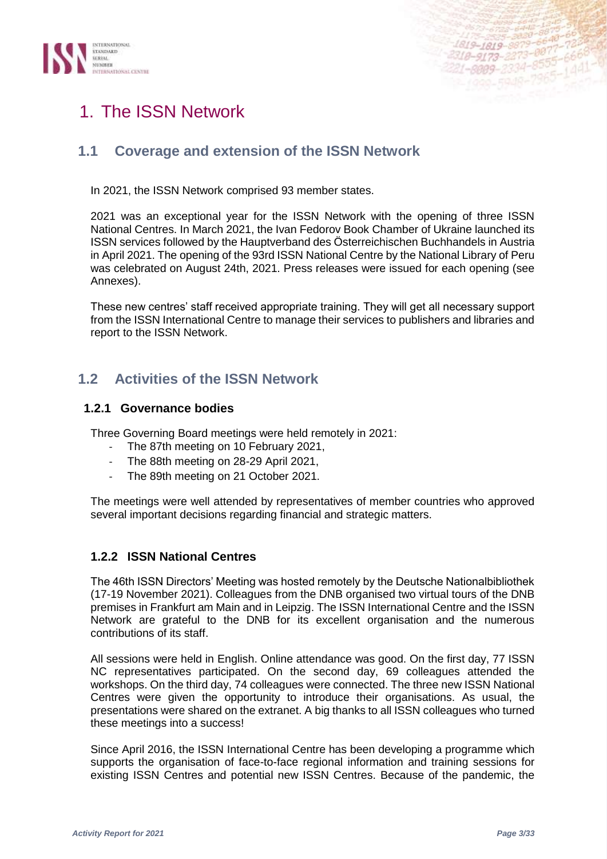



## 1. The ISSN Network

## **1.1 Coverage and extension of the ISSN Network**

In 2021, the ISSN Network comprised 93 member states.

2021 was an exceptional year for the ISSN Network with the opening of three ISSN National Centres. In March 2021, the Ivan Fedorov Book Chamber of Ukraine launched its ISSN services followed by the Hauptverband des Österreichischen Buchhandels in Austria in April 2021. The opening of the 93rd ISSN National Centre by the National Library of Peru was celebrated on August 24th, 2021. Press releases were issued for each opening (see Annexes).

These new centres' staff received appropriate training. They will get all necessary support from the ISSN International Centre to manage their services to publishers and libraries and report to the ISSN Network.

## **1.2 Activities of the ISSN Network**

## **1.2.1 Governance bodies**

Three Governing Board meetings were held remotely in 2021:

- The 87th meeting on 10 February 2021,
- The 88th meeting on 28-29 April 2021,
- The 89th meeting on 21 October 2021.

The meetings were well attended by representatives of member countries who approved several important decisions regarding financial and strategic matters.

## **1.2.2 ISSN National Centres**

The 46th ISSN Directors' Meeting was hosted remotely by the Deutsche Nationalbibliothek (17-19 November 2021). Colleagues from the DNB organised two virtual tours of the DNB premises in Frankfurt am Main and in Leipzig. The ISSN International Centre and the ISSN Network are grateful to the DNB for its excellent organisation and the numerous contributions of its staff.

All sessions were held in English. Online attendance was good. On the first day, 77 ISSN NC representatives participated. On the second day, 69 colleagues attended the workshops. On the third day, 74 colleagues were connected. The three new ISSN National Centres were given the opportunity to introduce their organisations. As usual, the presentations were shared on the extranet. A big thanks to all ISSN colleagues who turned these meetings into a success!

Since April 2016, the ISSN International Centre has been developing a programme which supports the organisation of face-to-face regional information and training sessions for existing ISSN Centres and potential new ISSN Centres. Because of the pandemic, the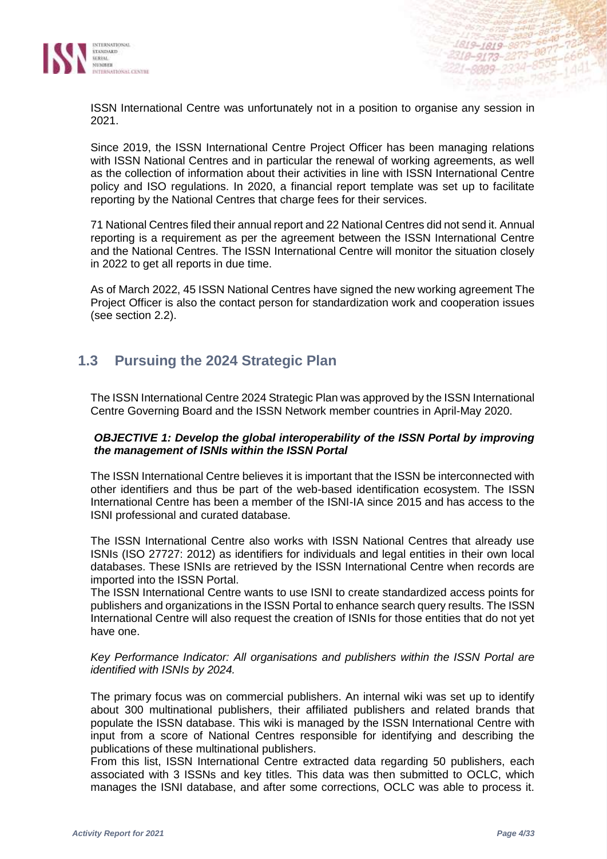

ISSN International Centre was unfortunately not in a position to organise any session in 2021.

Since 2019, the ISSN International Centre Project Officer has been managing relations with ISSN National Centres and in particular the renewal of working agreements, as well as the collection of information about their activities in line with ISSN International Centre policy and ISO regulations. In 2020, a financial report template was set up to facilitate reporting by the National Centres that charge fees for their services.

71 National Centres filed their annual report and 22 National Centres did not send it. Annual reporting is a requirement as per the agreement between the ISSN International Centre and the National Centres. The ISSN International Centre will monitor the situation closely in 2022 to get all reports in due time.

As of March 2022, 45 ISSN National Centres have signed the new working agreement The Project Officer is also the contact person for standardization work and cooperation issues (see section 2.2).

## **1.3 Pursuing the 2024 Strategic Plan**

The ISSN International Centre 2024 Strategic Plan was approved by the ISSN International Centre Governing Board and the ISSN Network member countries in April-May 2020.

#### *OBJECTIVE 1: Develop the global interoperability of the ISSN Portal by improving the management of ISNIs within the ISSN Portal*

The ISSN International Centre believes it is important that the ISSN be interconnected with other identifiers and thus be part of the web-based identification ecosystem. The ISSN International Centre has been a member of the ISNI-IA since 2015 and has access to the ISNI professional and curated database.

The ISSN International Centre also works with ISSN National Centres that already use ISNIs (ISO 27727: 2012) as identifiers for individuals and legal entities in their own local databases. These ISNIs are retrieved by the ISSN International Centre when records are imported into the ISSN Portal.

The ISSN International Centre wants to use ISNI to create standardized access points for publishers and organizations in the ISSN Portal to enhance search query results. The ISSN International Centre will also request the creation of ISNIs for those entities that do not yet have one.

#### *Key Performance Indicator: All organisations and publishers within the ISSN Portal are identified with ISNIs by 2024.*

The primary focus was on commercial publishers. An internal wiki was set up to identify about 300 multinational publishers, their affiliated publishers and related brands that populate the ISSN database. This wiki is managed by the ISSN International Centre with input from a score of National Centres responsible for identifying and describing the publications of these multinational publishers.

From this list, ISSN International Centre extracted data regarding 50 publishers, each associated with 3 ISSNs and key titles. This data was then submitted to OCLC, which manages the ISNI database, and after some corrections, OCLC was able to process it.

1819-1819-8879-6640<br>318-9173-2273-0877-72<br>318-9173-2273-8555-66

1-8009-2334-

 $-007 - 666$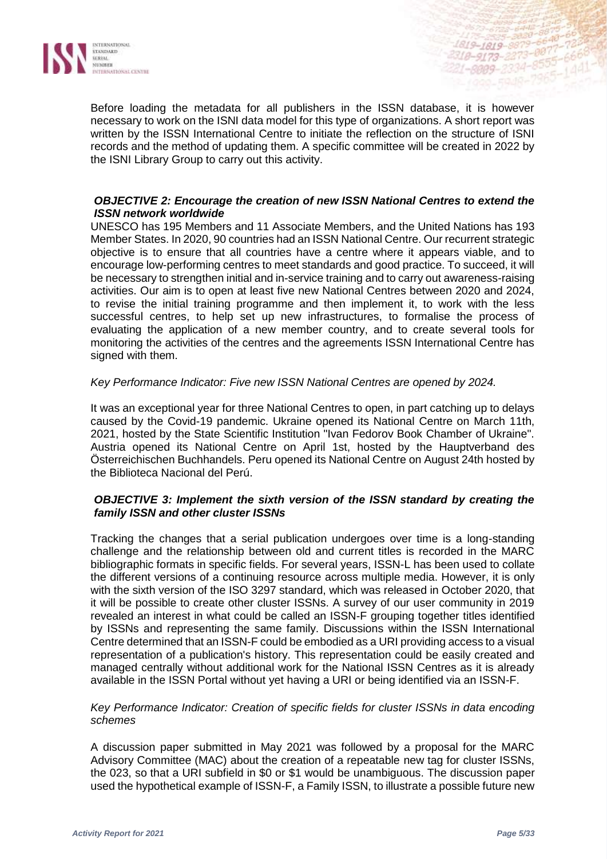

Before loading the metadata for all publishers in the ISSN database, it is however necessary to work on the ISNI data model for this type of organizations. A short report was written by the ISSN International Centre to initiate the reflection on the structure of ISNI records and the method of updating them. A specific committee will be created in 2022 by the ISNI Library Group to carry out this activity.

#### *OBJECTIVE 2: Encourage the creation of new ISSN National Centres to extend the ISSN network worldwide*

UNESCO has 195 Members and 11 Associate Members, and the United Nations has 193 Member States. In 2020, 90 countries had an ISSN National Centre. Our recurrent strategic objective is to ensure that all countries have a centre where it appears viable, and to encourage low-performing centres to meet standards and good practice. To succeed, it will be necessary to strengthen initial and in-service training and to carry out awareness-raising activities. Our aim is to open at least five new National Centres between 2020 and 2024, to revise the initial training programme and then implement it, to work with the less successful centres, to help set up new infrastructures, to formalise the process of evaluating the application of a new member country, and to create several tools for monitoring the activities of the centres and the agreements ISSN International Centre has signed with them.

#### *Key Performance Indicator: Five new ISSN National Centres are opened by 2024.*

It was an exceptional year for three National Centres to open, in part catching up to delays caused by the Covid-19 pandemic. Ukraine opened its National Centre on March 11th, 2021, hosted by the State Scientific Institution "Ivan Fedorov Book Chamber of Ukraine". Austria opened its National Centre on April 1st, hosted by the Hauptverband des Österreichischen Buchhandels. Peru opened its National Centre on August 24th hosted by the Biblioteca Nacional del Perú.

#### *OBJECTIVE 3: Implement the sixth version of the ISSN standard by creating the family ISSN and other cluster ISSNs*

Tracking the changes that a serial publication undergoes over time is a long-standing challenge and the relationship between old and current titles is recorded in the MARC bibliographic formats in specific fields. For several years, ISSN-L has been used to collate the different versions of a continuing resource across multiple media. However, it is only with the sixth version of the ISO 3297 standard, which was released in October 2020, that it will be possible to create other cluster ISSNs. A survey of our user community in 2019 revealed an interest in what could be called an ISSN-F grouping together titles identified by ISSNs and representing the same family. Discussions within the ISSN International Centre determined that an ISSN-F could be embodied as a URI providing access to a visual representation of a publication's history. This representation could be easily created and managed centrally without additional work for the National ISSN Centres as it is already available in the ISSN Portal without yet having a URI or being identified via an ISSN-F.

#### *Key Performance Indicator: Creation of specific fields for cluster ISSNs in data encoding schemes*

A discussion paper submitted in May 2021 was followed by a proposal for the MARC Advisory Committee (MAC) about the creation of a repeatable new tag for cluster ISSNs, the 023, so that a URI subfield in \$0 or \$1 would be unambiguous. The discussion paper used the hypothetical example of ISSN-F, a Family ISSN, to illustrate a possible future new

1819-1819-8879 1819-1819-8877-8877

1-8009-2334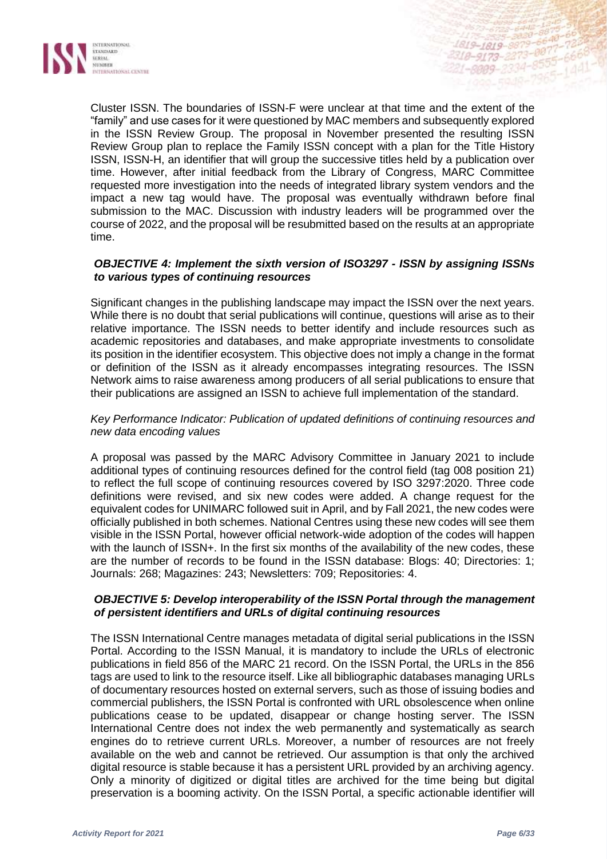

Cluster ISSN. The boundaries of ISSN-F were unclear at that time and the extent of the "family" and use cases for it were questioned by MAC members and subsequently explored in the ISSN Review Group. The proposal in November presented the resulting ISSN Review Group plan to replace the Family ISSN concept with a plan for the Title History ISSN, ISSN-H, an identifier that will group the successive titles held by a publication over time. However, after initial feedback from the Library of Congress, MARC Committee requested more investigation into the needs of integrated library system vendors and the impact a new tag would have. The proposal was eventually withdrawn before final submission to the MAC. Discussion with industry leaders will be programmed over the course of 2022, and the proposal will be resubmitted based on the results at an appropriate time.

#### *OBJECTIVE 4: Implement the sixth version of ISO3297 - ISSN by assigning ISSNs to various types of continuing resources*

Significant changes in the publishing landscape may impact the ISSN over the next years. While there is no doubt that serial publications will continue, questions will arise as to their relative importance. The ISSN needs to better identify and include resources such as academic repositories and databases, and make appropriate investments to consolidate its position in the identifier ecosystem. This objective does not imply a change in the format or definition of the ISSN as it already encompasses integrating resources. The ISSN Network aims to raise awareness among producers of all serial publications to ensure that their publications are assigned an ISSN to achieve full implementation of the standard.

#### *Key Performance Indicator: Publication of updated definitions of continuing resources and new data encoding values*

A proposal was passed by the MARC Advisory Committee in January 2021 to include additional types of continuing resources defined for the control field (tag 008 position 21) to reflect the full scope of continuing resources covered by ISO 3297:2020. Three code definitions were revised, and six new codes were added. A change request for the equivalent codes for UNIMARC followed suit in April, and by Fall 2021, the new codes were officially published in both schemes. National Centres using these new codes will see them visible in the ISSN Portal, however official network-wide adoption of the codes will happen with the launch of ISSN+. In the first six months of the availability of the new codes, these are the number of records to be found in the ISSN database: Blogs: 40; Directories: 1; Journals: 268; Magazines: 243; Newsletters: 709; Repositories: 4.

#### *OBJECTIVE 5: Develop interoperability of the ISSN Portal through the management of persistent identifiers and URLs of digital continuing resources*

The ISSN International Centre manages metadata of digital serial publications in the ISSN Portal. According to the ISSN Manual, it is mandatory to include the URLs of electronic publications in field 856 of the MARC 21 record. On the ISSN Portal, the URLs in the 856 tags are used to link to the resource itself. Like all bibliographic databases managing URLs of documentary resources hosted on external servers, such as those of issuing bodies and commercial publishers, the ISSN Portal is confronted with URL obsolescence when online publications cease to be updated, disappear or change hosting server. The ISSN International Centre does not index the web permanently and systematically as search engines do to retrieve current URLs. Moreover, a number of resources are not freely available on the web and cannot be retrieved. Our assumption is that only the archived digital resource is stable because it has a persistent URL provided by an archiving agency. Only a minority of digitized or digital titles are archived for the time being but digital preservation is a booming activity. On the ISSN Portal, a specific actionable identifier will

1819-1819-8879 318-9173-2273-8877

1-8009-2334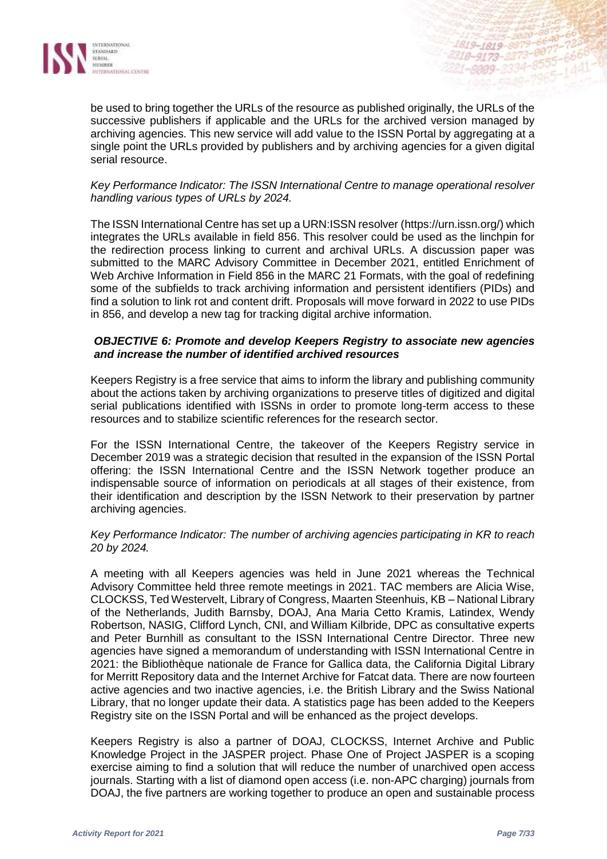

be used to bring together the URLs of the resource as published originally, the URLs of the successive publishers if applicable and the URLs for the archived version managed by archiving agencies. This new service will add value to the ISSN Portal by aggregating at a single point the URLs provided by publishers and by archiving agencies for a given digital serial resource.

#### *Key Performance Indicator: The ISSN International Centre to manage operational resolver handling various types of URLs by 2024.*

The ISSN International Centre has set up a URN:ISSN resolver [\(https://urn.issn.org/\)](https://urn.issn.org/) which integrates the URLs available in field 856. This resolver could be used as the linchpin for the redirection process linking to current and archival URLs. A discussion paper was submitted to the MARC Advisory Committee in December 2021, entitled Enrichment of Web Archive Information in Field 856 in the MARC 21 Formats, with the goal of redefining some of the subfields to track archiving information and persistent identifiers (PIDs) and find a solution to link rot and content drift. Proposals will move forward in 2022 to use PIDs in 856, and develop a new tag for tracking digital archive information.

#### *OBJECTIVE 6: Promote and develop Keepers Registry to associate new agencies and increase the number of identified archived resources*

Keepers Registry is a free service that aims to inform the library and publishing community about the actions taken by archiving organizations to preserve titles of digitized and digital serial publications identified with ISSNs in order to promote long-term access to these resources and to stabilize scientific references for the research sector.

For the ISSN International Centre, the takeover of the Keepers Registry service in December 2019 was a strategic decision that resulted in the expansion of the ISSN Portal offering: the ISSN International Centre and the ISSN Network together produce an indispensable source of information on periodicals at all stages of their existence, from their identification and description by the ISSN Network to their preservation by partner archiving agencies.

#### *Key Performance Indicator: The number of archiving agencies participating in KR to reach 20 by 2024.*

A meeting with all Keepers agencies was held in June 2021 whereas the Technical Advisory Committee held three remote meetings in 2021. TAC members are Alicia Wise, CLOCKSS, Ted Westervelt, Library of Congress, Maarten Steenhuis, KB – National Library of the Netherlands, Judith Barnsby, DOAJ, Ana Maria Cetto Kramis, Latindex, Wendy Robertson, NASIG, Clifford Lynch, CNI, and William Kilbride, DPC as consultative experts and Peter Burnhill as consultant to the ISSN International Centre Director. Three new agencies have signed a memorandum of understanding with ISSN International Centre in 2021: the Bibliothèque nationale de France for Gallica data, the California Digital Library for Merritt Repository data and the Internet Archive for Fatcat data. There are now fourteen active agencies and two inactive agencies, i.e. the British Library and the Swiss National Library, that no longer update their data. A statistics page has been added to the Keepers Registry site on the ISSN Portal and will be enhanced as the project develops.

Keepers Registry is also a partner of DOAJ, CLOCKSS, Internet Archive and Public Knowledge Project in the JASPER project. Phase One of Project JASPER is a scoping exercise aiming to find a solution that will reduce the number of unarchived open access journals. Starting with a list of diamond open access (i.e. non-APC charging) journals from DOAJ, the five partners are working together to produce an open and sustainable process

1819-1819-8879 1819-1819-8879-0077-

1-8009-2334-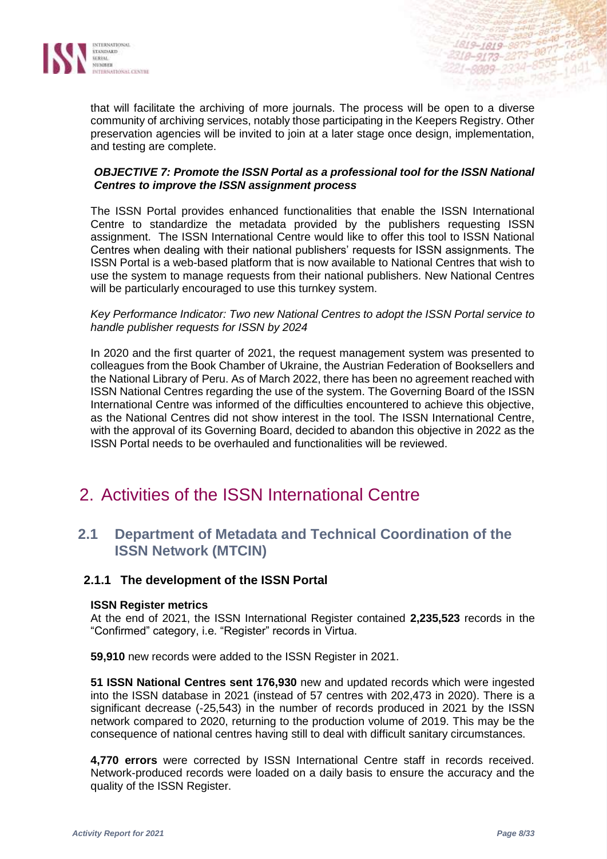

that will facilitate the archiving of more journals. The process will be open to a diverse community of archiving services, notably those participating in the Keepers Registry. Other preservation agencies will be invited to join at a later stage once design, implementation, and testing are complete.

#### *OBJECTIVE 7: Promote the ISSN Portal as a professional tool for the ISSN National Centres to improve the ISSN assignment process*

The ISSN Portal provides enhanced functionalities that enable the ISSN International Centre to standardize the metadata provided by the publishers requesting ISSN assignment. The ISSN International Centre would like to offer this tool to ISSN National Centres when dealing with their national publishers' requests for ISSN assignments. The ISSN Portal is a web-based platform that is now available to National Centres that wish to use the system to manage requests from their national publishers. New National Centres will be particularly encouraged to use this turnkey system.

#### *Key Performance Indicator: Two new National Centres to adopt the ISSN Portal service to handle publisher requests for ISSN by 2024*

In 2020 and the first quarter of 2021, the request management system was presented to colleagues from the Book Chamber of Ukraine, the Austrian Federation of Booksellers and the National Library of Peru. As of March 2022, there has been no agreement reached with ISSN National Centres regarding the use of the system. The Governing Board of the ISSN International Centre was informed of the difficulties encountered to achieve this objective, as the National Centres did not show interest in the tool. The ISSN International Centre, with the approval of its Governing Board, decided to abandon this objective in 2022 as the ISSN Portal needs to be overhauled and functionalities will be reviewed.

## 2. Activities of the ISSN International Centre

## **2.1 Department of Metadata and Technical Coordination of the ISSN Network (MTCIN)**

#### **2.1.1 The development of the ISSN Portal**

#### **ISSN Register metrics**

At the end of 2021, the ISSN International Register contained **2,235,523** records in the "Confirmed" category, i.e. "Register" records in Virtua.

**59,910** new records were added to the ISSN Register in 2021.

**51 ISSN National Centres sent 176,930** new and updated records which were ingested into the ISSN database in 2021 (instead of 57 centres with 202,473 in 2020). There is a significant decrease (-25,543) in the number of records produced in 2021 by the ISSN network compared to 2020, returning to the production volume of 2019. This may be the consequence of national centres having still to deal with difficult sanitary circumstances.

**4,770 errors** were corrected by ISSN International Centre staff in records received. Network-produced records were loaded on a daily basis to ensure the accuracy and the quality of the ISSN Register.

1819-1819-8879 2318-9173-2273-8877

1-8009-2334

 $.8555$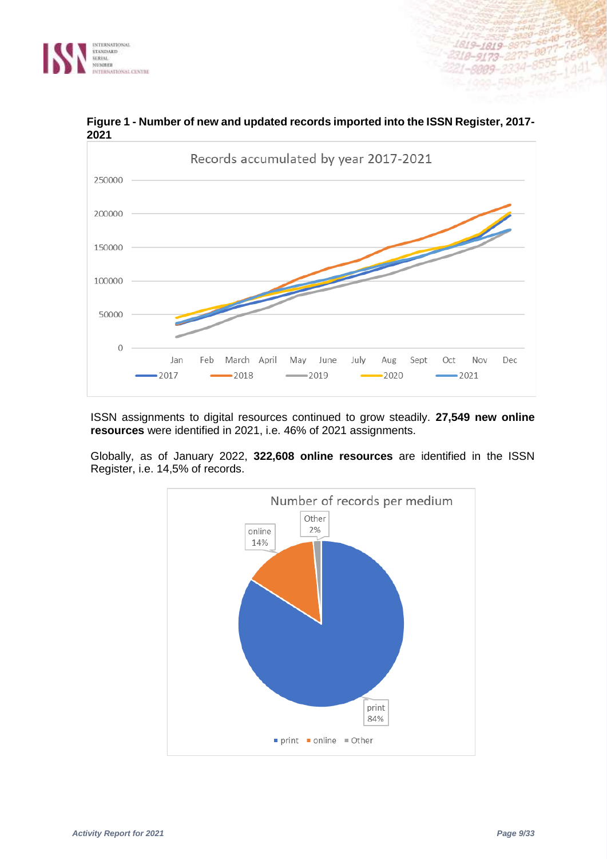



**Figure 1 - Number of new and updated records imported into the ISSN Register, 2017- 2021**

ISSN assignments to digital resources continued to grow steadily. **27,549 new online resources** were identified in 2021, i.e. 46% of 2021 assignments.

Globally, as of January 2022, **322,608 online resources** are identified in the ISSN Register, i.e. 14,5% of records.



 $-0.0133$ 

18-9173-2273-8877-72<br>18-9173-2273-8855-6668<br>1-8009-2334-8555-1441

1819-1819-8879-6648-723<br>2318-9173-2273-8877-666<br>221-0000-2234-8555-666

6640

 $-8555 - 1441$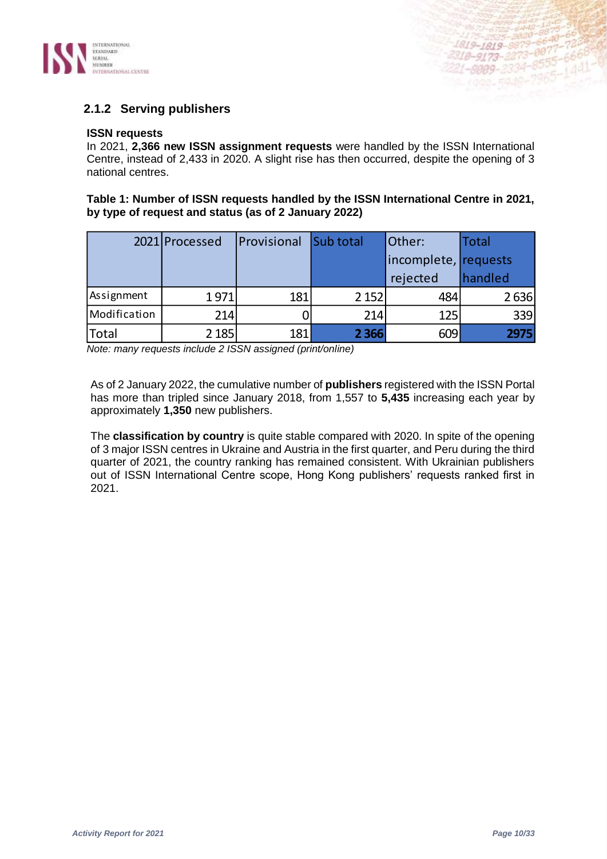

## **2.1.2 Serving publishers**

#### **ISSN requests**

In 2021, **2,366 new ISSN assignment requests** were handled by the ISSN International Centre, instead of 2,433 in 2020. A slight rise has then occurred, despite the opening of 3 national centres.

#### **Table 1: Number of ISSN requests handled by the ISSN International Centre in 2021, by type of request and status (as of 2 January 2022)**

|              | 2021 Processed | Provisional | <b>Sub total</b> | Other:               | <b>Total</b> |
|--------------|----------------|-------------|------------------|----------------------|--------------|
|              |                |             |                  | incomplete, requests |              |
|              |                |             |                  | rejected             | handled      |
| Assignment   | 1971           | 181         | 2 1 5 2          | 484                  | 2636         |
| Modification | 214            |             | 214              | 125                  | 339          |
| <b>Total</b> | 2 1 8 5        | 181         | 2 3 6 6          | 609                  | 2975         |

*Note: many requests include 2 ISSN assigned (print/online)*

As of 2 January 2022, the cumulative number of **publishers** registered with the ISSN Portal has more than tripled since January 2018, from 1,557 to **5,435** increasing each year by approximately **1,350** new publishers.

The **classification by country** is quite stable compared with 2020. In spite of the opening of 3 major ISSN centres in Ukraine and Austria in the first quarter, and Peru during the third quarter of 2021, the country ranking has remained consistent. With Ukrainian publishers out of ISSN International Centre scope, Hong Kong publishers' requests ranked first in 2021.

1819-1819-8879-6648-66<br>1819-1819-8879-6648-66<br>2319-0139-8273-0877-72 1819-1819-8879-6648-723

1619-1819-8873-8877-78668<br>318-9173-2273-8875-6668<br>21-8009-2334-8555-1441

 $-8555 - 680$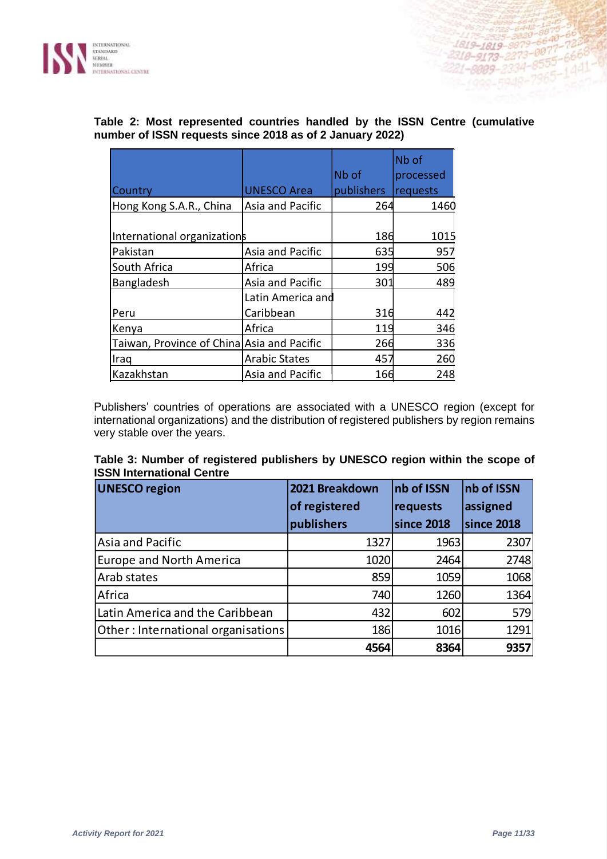

|                                            |                      |            | Nb of     |
|--------------------------------------------|----------------------|------------|-----------|
|                                            |                      | Nb of      | processed |
| Country                                    | <b>UNESCO Area</b>   | publishers | requests  |
| Hong Kong S.A.R., China                    | Asia and Pacific     | 264        | 1460      |
|                                            |                      |            |           |
| International organizations                |                      | 186        | 1015      |
| Pakistan                                   | Asia and Pacific     | 635        | 957       |
| South Africa                               | Africa               | 199        | 506       |
| Bangladesh                                 | Asia and Pacific     | 301        | 489       |
|                                            | Latin America and    |            |           |
| Peru                                       | Caribbean            | 316        | 442       |
| Kenya                                      | Africa               | 119        | 346       |
| Taiwan, Province of China Asia and Pacific |                      | 266        | 336       |
| Iraq                                       | <b>Arabic States</b> | 457        | 260       |
| Kazakhstan                                 | Asia and Pacific     | 166        | 248       |

### **Table 2: Most represented countries handled by the ISSN Centre (cumulative number of ISSN requests since 2018 as of 2 January 2022)**

Publishers' countries of operations are associated with a UNESCO region (except for international organizations) and the distribution of registered publishers by region remains very stable over the years.

#### **Table 3: Number of registered publishers by UNESCO region within the scope of ISSN International Centre**

| <b>UNESCO region</b>               | 2021 Breakdown | nb of ISSN | nb of ISSN |
|------------------------------------|----------------|------------|------------|
|                                    | of registered  | requests   | assigned   |
|                                    | publishers     | since 2018 | since 2018 |
| Asia and Pacific                   | 1327           | 1963       | 2307       |
| <b>Europe and North America</b>    | 1020           | 2464       | 2748       |
| Arab states                        | 859            | 1059       | 1068       |
| Africa                             | 740            | 1260       | 1364       |
| Latin America and the Caribbean    | 432            | 602        | 579        |
| Other: International organisations | 186            | 1016       | 1291       |
|                                    | 4564           | 8364       | 9357       |

221-2009-2334-8575-1441-02221-2009-2334-8575-4441-02221-2009-2334-8575-1441-0

2218-9173-2273-0055-6600<br>221-8009-2334-8555-6600<br>- 1999-5948-7965-1441-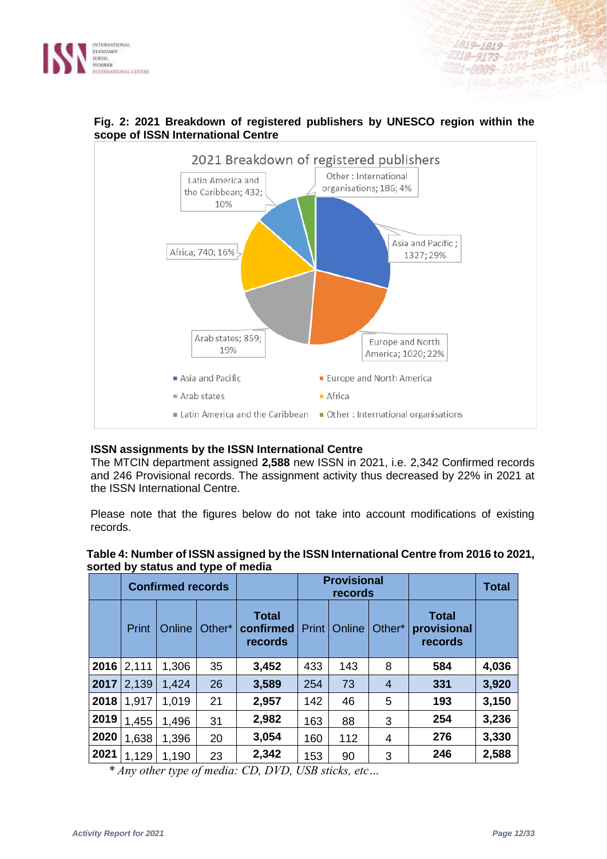



## **Fig. 2: 2021 Breakdown of registered publishers by UNESCO region within the scope of ISSN International Centre**

#### **ISSN assignments by the ISSN International Centre**

The MTCIN department assigned **2,588** new ISSN in 2021, i.e. 2,342 Confirmed records and 246 Provisional records. The assignment activity thus decreased by 22% in 2021 at the ISSN International Centre.

Please note that the figures below do not take into account modifications of existing records.

|      |       | sontoa isy statao ania typo of moala<br><b>Confirmed records</b> |        |                                      | <b>Provisional</b><br>records |        |                |                                        |       | <b>Total</b> |
|------|-------|------------------------------------------------------------------|--------|--------------------------------------|-------------------------------|--------|----------------|----------------------------------------|-------|--------------|
|      | Print | Online                                                           | Other* | <b>Total</b><br>confirmed<br>records | Print                         | Online | Other*         | <b>Total</b><br>provisional<br>records |       |              |
| 2016 | 2,111 | 1,306                                                            | 35     | 3,452                                | 433                           | 143    | 8              | 584                                    | 4,036 |              |
| 2017 | 2,139 | 1,424                                                            | 26     | 3,589                                | 254                           | 73     | $\overline{4}$ | 331                                    | 3,920 |              |
| 2018 | 1,917 | 1,019                                                            | 21     | 2,957                                | 142                           | 46     | 5              | 193                                    | 3,150 |              |
| 2019 | 1,455 | 1,496                                                            | 31     | 2,982                                | 163                           | 88     | 3              | 254                                    | 3,236 |              |
| 2020 | 1,638 | 1,396                                                            | 20     | 3,054                                | 160                           | 112    | 4              | 276                                    | 3,330 |              |
| 2021 | 1,129 | 1,190                                                            | 23     | 2,342                                | 153                           | 90     | 3              | 246                                    | 2,588 |              |

#### **Table 4: Number of ISSN assigned by the ISSN International Centre from 2016 to 2021, sorted by status and type of media**

*\* Any other type of media: CD, DVD, USB sticks, etc…*

415-2015-2020-8879-66 1819-1819-8879-6640-00337<br>-1819-1819-8879-6640-72337<br>-2318-9173-2273-0077-6668

819–1819–8879–8<br>18–9173–2273–8877–6668<br>1–8009–2334–8555–1441

 $-8555 - 6600$ <br> $-7965 - 1441$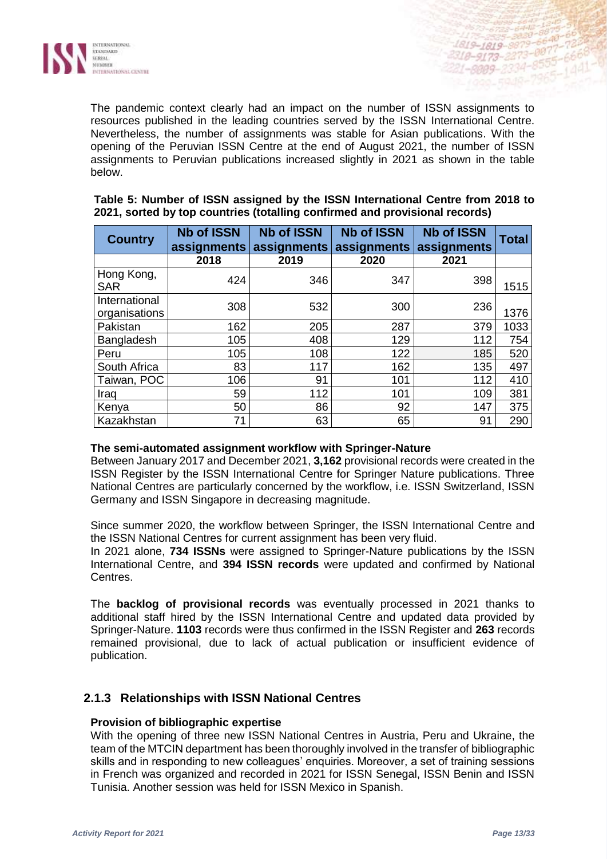

The pandemic context clearly had an impact on the number of ISSN assignments to resources published in the leading countries served by the ISSN International Centre. Nevertheless, the number of assignments was stable for Asian publications. With the opening of the Peruvian ISSN Centre at the end of August 2021, the number of ISSN assignments to Peruvian publications increased slightly in 2021 as shown in the table below.

| <b>Country</b>                 | <b>Nb of ISSN</b><br>assignments | <b>Nb of ISSN</b><br>assignments | <b>Nb of ISSN</b><br>assignments | <b>Nb of ISSN</b><br>assignments | <b>Total</b> |
|--------------------------------|----------------------------------|----------------------------------|----------------------------------|----------------------------------|--------------|
|                                | 2018                             | 2019                             | 2020                             | 2021                             |              |
| Hong Kong,<br><b>SAR</b>       | 424                              | 346                              | 347                              | 398                              | 1515         |
| International<br>organisations | 308                              | 532                              | 300                              | 236                              | 1376         |
| Pakistan                       | 162                              | 205                              | 287                              | 379                              | 1033         |
| Bangladesh                     | 105                              | 408                              | 129                              | 112                              | 754          |
| Peru                           | 105                              | 108                              | 122                              | 185                              | 520          |
| South Africa                   | 83                               | 117                              | 162                              | 135                              | 497          |
| Taiwan, POC                    | 106                              | 91                               | 101                              | 112                              | 410          |
| Iraq                           | 59                               | 112                              | 101                              | 109                              | 381          |
| Kenya                          | 50                               | 86                               | 92                               | 147                              | 375          |
| Kazakhstan                     | 71                               | 63                               | 65                               | 91                               | 290          |

#### **Table 5: Number of ISSN assigned by the ISSN International Centre from 2018 to 2021, sorted by top countries (totalling confirmed and provisional records)**

#### **The semi-automated assignment workflow with Springer-Nature**

Between January 2017 and December 2021, **3,162** provisional records were created in the ISSN Register by the ISSN International Centre for Springer Nature publications. Three National Centres are particularly concerned by the workflow, i.e. ISSN Switzerland, ISSN Germany and ISSN Singapore in decreasing magnitude.

Since summer 2020, the workflow between Springer, the ISSN International Centre and the ISSN National Centres for current assignment has been very fluid.

In 2021 alone, **734 ISSNs** were assigned to Springer-Nature publications by the ISSN International Centre, and **394 ISSN records** were updated and confirmed by National Centres.

The **backlog of provisional records** was eventually processed in 2021 thanks to additional staff hired by the ISSN International Centre and updated data provided by Springer-Nature. **1103** records were thus confirmed in the ISSN Register and **263** records remained provisional, due to lack of actual publication or insufficient evidence of publication.

## **2.1.3 Relationships with ISSN National Centres**

#### **Provision of bibliographic expertise**

With the opening of three new ISSN National Centres in Austria, Peru and Ukraine, the team of the MTCIN department has been thoroughly involved in the transfer of bibliographic skills and in responding to new colleagues' enquiries. Moreover, a set of training sessions in French was organized and recorded in 2021 for ISSN Senegal, ISSN Benin and ISSN Tunisia. Another session was held for ISSN Mexico in Spanish.

1819-1819-8879 318-9173-2273-887

 $1 - 8999 - 2334$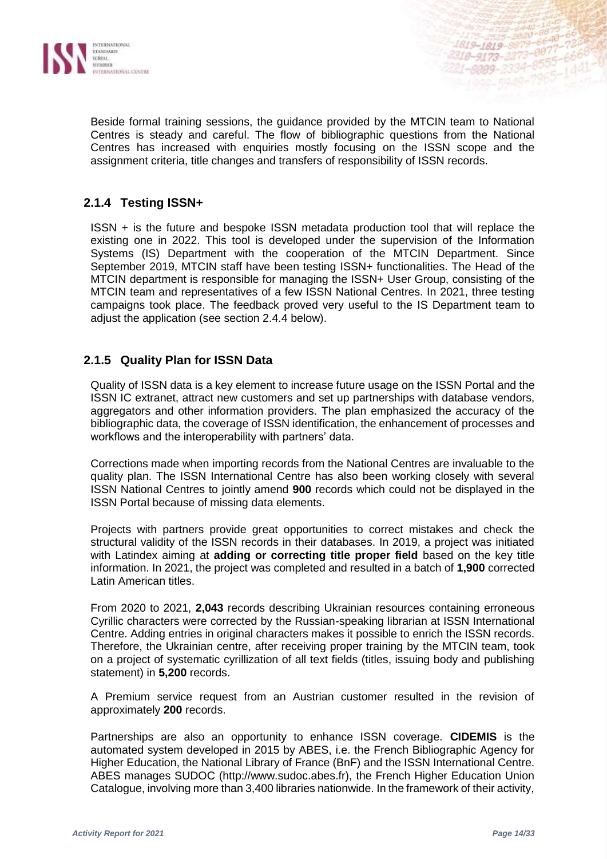

Beside formal training sessions, the guidance provided by the MTCIN team to National Centres is steady and careful. The flow of bibliographic questions from the National Centres has increased with enquiries mostly focusing on the ISSN scope and the assignment criteria, title changes and transfers of responsibility of ISSN records.

## **2.1.4 Testing ISSN+**

ISSN + is the future and bespoke ISSN metadata production tool that will replace the existing one in 2022. This tool is developed under the supervision of the Information Systems (IS) Department with the cooperation of the MTCIN Department. Since September 2019, MTCIN staff have been testing ISSN+ functionalities. The Head of the MTCIN department is responsible for managing the ISSN+ User Group, consisting of the MTCIN team and representatives of a few ISSN National Centres. In 2021, three testing campaigns took place. The feedback proved very useful to the IS Department team to adjust the application (see section 2.4.4 below).

## **2.1.5 Quality Plan for ISSN Data**

Quality of ISSN data is a key element to increase future usage on the ISSN Portal and the ISSN IC extranet, attract new customers and set up partnerships with database vendors, aggregators and other information providers. The plan emphasized the accuracy of the bibliographic data, the coverage of ISSN identification, the enhancement of processes and workflows and the interoperability with partners' data.

Corrections made when importing records from the National Centres are invaluable to the quality plan. The ISSN International Centre has also been working closely with several ISSN National Centres to jointly amend **900** records which could not be displayed in the ISSN Portal because of missing data elements.

Projects with partners provide great opportunities to correct mistakes and check the structural validity of the ISSN records in their databases. In 2019, a project was initiated with Latindex aiming at **adding or correcting title proper field** based on the key title information. In 2021, the project was completed and resulted in a batch of **1,900** corrected Latin American titles.

From 2020 to 2021, **2,043** records describing Ukrainian resources containing erroneous Cyrillic characters were corrected by the Russian-speaking librarian at ISSN International Centre. Adding entries in original characters makes it possible to enrich the ISSN records. Therefore, the Ukrainian centre, after receiving proper training by the MTCIN team, took on a project of systematic cyrillization of all text fields (titles, issuing body and publishing statement) in **5,200** records.

A Premium service request from an Austrian customer resulted in the revision of approximately **200** records.

Partnerships are also an opportunity to enhance ISSN coverage. **CIDEMIS** is the automated system developed in 2015 by ABES, i.e. the French Bibliographic Agency for Higher Education, the National Library of France (BnF) and the ISSN International Centre. ABES manages SUDOC (http://www.sudoc.abes.fr), the French Higher Education Union Catalogue, involving more than 3,400 libraries nationwide. In the framework of their activity,

4819-1819-8879-6640-723

 $1 - 8999 - 2334$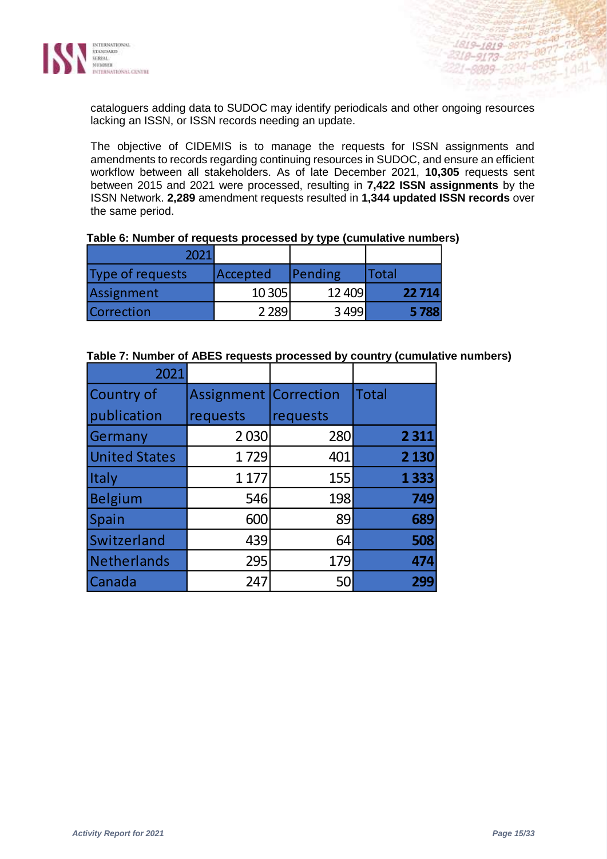

cataloguers adding data to SUDOC may identify periodicals and other ongoing resources lacking an ISSN, or ISSN records needing an update.

The objective of CIDEMIS is to manage the requests for ISSN assignments and amendments to records regarding continuing resources in SUDOC, and ensure an efficient workflow between all stakeholders. As of late December 2021, **10,305** requests sent between 2015 and 2021 were processed, resulting in **7,422 ISSN assignments** by the ISSN Network. **2,289** amendment requests resulted in **1,344 updated ISSN records** over the same period.

| 2021             |          |         |       |
|------------------|----------|---------|-------|
| Type of requests | Accepted | Pending | Total |
| Assignment       | 10 305   | 12 409  | 22714 |
| Correction       | 2289     | 3499    | 5788  |

#### **Table 6: Number of requests processed by type (cumulative numbers)**

#### **Table 7: Number of ABES requests processed by country (cumulative numbers)**

| 2021                 |                              |          |         |
|----------------------|------------------------------|----------|---------|
| <b>Country of</b>    | <b>Assignment Correction</b> |          | Total   |
| publication          | requests                     | requests |         |
| Germany              | 2030                         | 280      | 2 3 1 1 |
| <b>United States</b> | 1729                         | 401      | 2 1 3 0 |
| <b>Italy</b>         | 1 1 7 7                      | 155      | 1333    |
| Belgium              | 546                          | 198      | 749     |
| Spain                | 600                          | 89       | 689     |
| Switzerland          | 439                          | 64       | 508     |
| Netherlands          | 295                          | 179      | 474     |
| Canada               | 247                          | 50       | 299     |

1819-1819-8879-6640-72

2210-9173-2273-0071-666<br>221-0009-2334-8555-666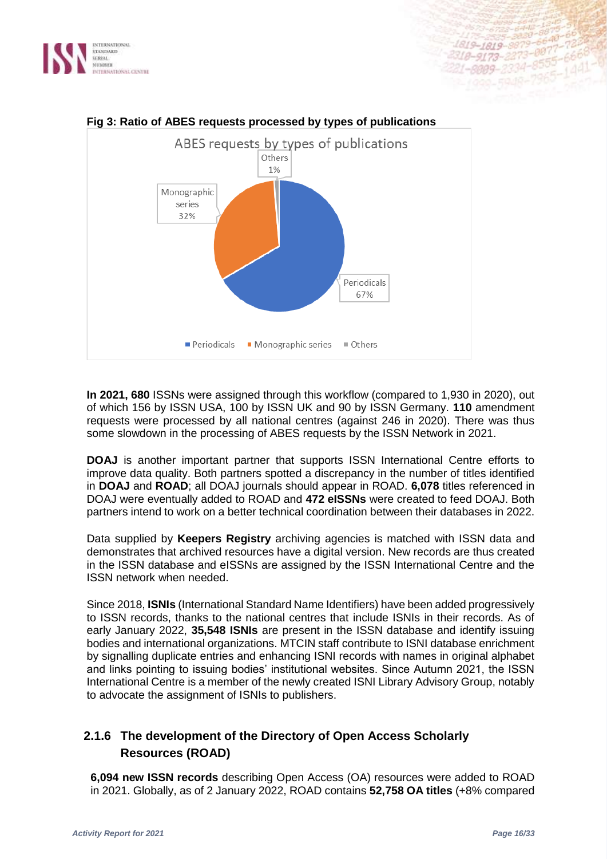



## **Fig 3: Ratio of ABES requests processed by types of publications**

**In 2021, 680** ISSNs were assigned through this workflow (compared to 1,930 in 2020), out of which 156 by ISSN USA, 100 by ISSN UK and 90 by ISSN Germany. **110** amendment requests were processed by all national centres (against 246 in 2020). There was thus some slowdown in the processing of ABES requests by the ISSN Network in 2021.

**DOAJ** is another important partner that supports ISSN International Centre efforts to improve data quality. Both partners spotted a discrepancy in the number of titles identified in **DOAJ** and **ROAD**; all DOAJ journals should appear in ROAD. **6,078** titles referenced in DOAJ were eventually added to ROAD and **472 eISSNs** were created to feed DOAJ. Both partners intend to work on a better technical coordination between their databases in 2022.

Data supplied by **Keepers Registry** archiving agencies is matched with ISSN data and demonstrates that archived resources have a digital version. New records are thus created in the ISSN database and eISSNs are assigned by the ISSN International Centre and the ISSN network when needed.

Since 2018, **ISNIs** (International Standard Name Identifiers) have been added progressively to ISSN records, thanks to the national centres that include ISNIs in their records. As of early January 2022, **35,548 ISNIs** are present in the ISSN database and identify issuing bodies and international organizations. MTCIN staff contribute to ISNI database enrichment by signalling duplicate entries and enhancing ISNI records with names in original alphabet and links pointing to issuing bodies' institutional websites. Since Autumn 2021, the ISSN International Centre is a member of the newly created ISNI Library Advisory Group, notably to advocate the assignment of ISNIs to publishers.

## **2.1.6 The development of the Directory of Open Access Scholarly Resources (ROAD)**

**6,094 new ISSN records** describing Open Access (OA) resources were added to ROAD in 2021. Globally, as of 2 January 2022, ROAD contains **52,758 OA titles** (+8% compared

1819-1819-8879

2399-2334

18-9173-22

 $73 - 8877$ 

 $-887$ <br> $-666$ <br> $-140$ 

 $(44)$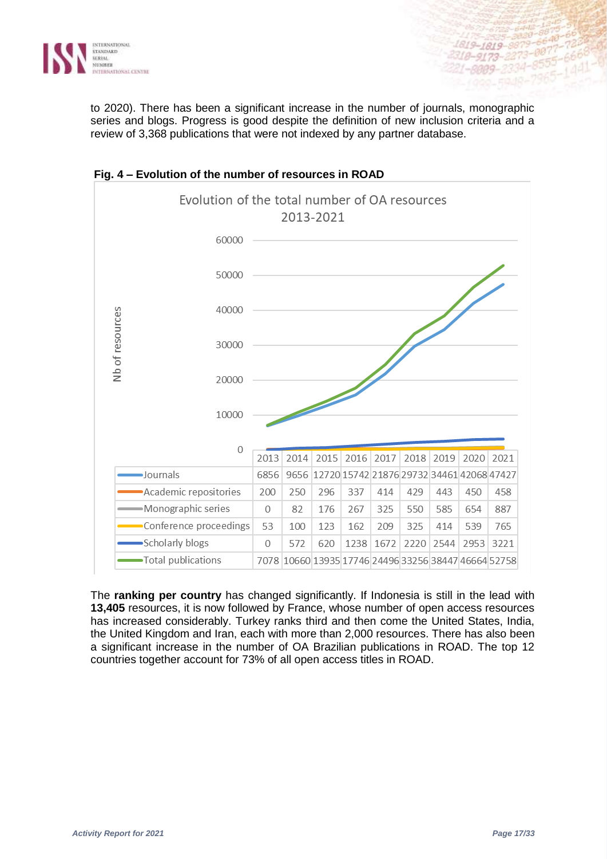

to 2020). There has been a significant increase in the number of journals, monographic series and blogs. Progress is good despite the definition of new inclusion criteria and a review of 3,368 publications that were not indexed by any partner database.



**Fig. 4 – Evolution of the number of resources in ROAD**

The **ranking per country** has changed significantly. If Indonesia is still in the lead with **13,405** resources, it is now followed by France, whose number of open access resources has increased considerably. Turkey ranks third and then come the United States, India, the United Kingdom and Iran, each with more than 2,000 resources. There has also been a significant increase in the number of OA Brazilian publications in ROAD. The top 12 countries together account for 73% of all open access titles in ROAD.

 $1010$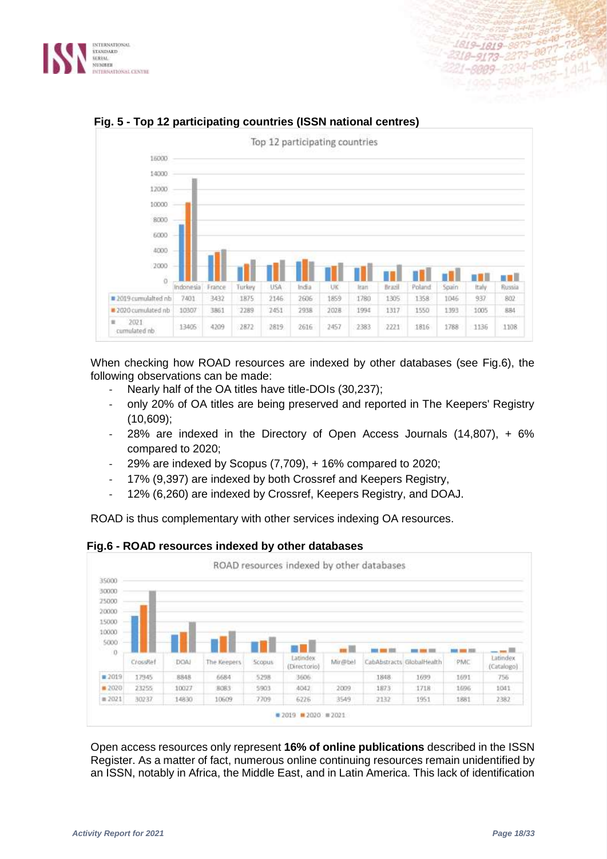



## **Fig. 5 - Top 12 participating countries (ISSN national centres)**

When checking how ROAD resources are indexed by other databases (see Fig.6), the following observations can be made:

- Nearly half of the OA titles have title-DOIs (30,237);
- only 20% of OA titles are being preserved and reported in The Keepers' Registry (10,609);
- 28% are indexed in the Directory of Open Access Journals  $(14,807)$ , + 6% compared to 2020;
- 29% are indexed by Scopus (7,709), + 16% compared to 2020;
- 17% (9,397) are indexed by both Crossref and Keepers Registry,
- 12% (6,260) are indexed by Crossref, Keepers Registry, and DOAJ.

ROAD is thus complementary with other services indexing OA resources.



#### **Fig.6 - ROAD resources indexed by other databases**

Open access resources only represent **16% of online publications** described in the ISSN Register. As a matter of fact, numerous online continuing resources remain unidentified by an ISSN, notably in Africa, the Middle East, and in Latin America. This lack of identification

6640

 $-8555 - 6668$ 

 $3555 - 1441$ 

t-8009-2334-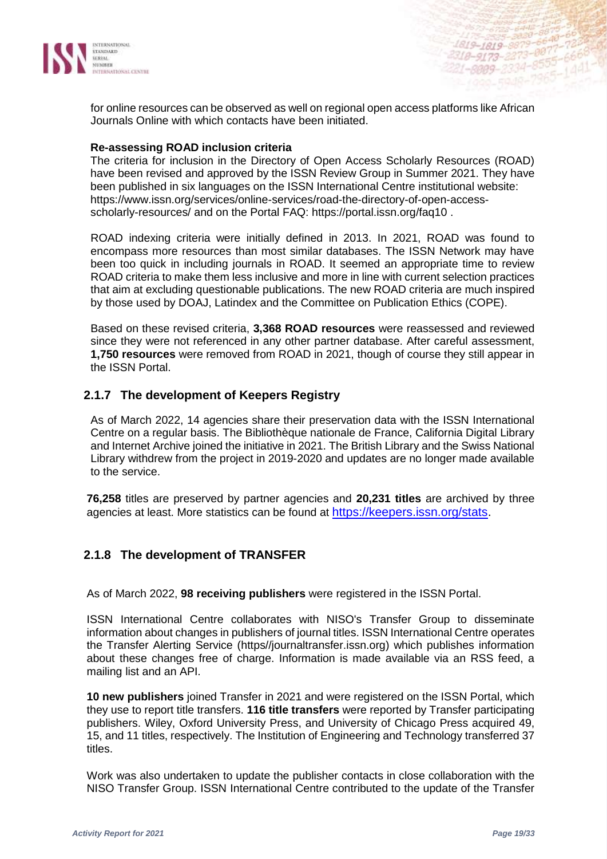

for online resources can be observed as well on regional open access platforms like African Journals Online with which contacts have been initiated.

#### **Re-assessing ROAD inclusion criteria**

The criteria for inclusion in the Directory of Open Access Scholarly Resources (ROAD) have been revised and approved by the ISSN Review Group in Summer 2021. They have been published in six languages on the ISSN International Centre institutional website: [https://www.issn.org/services/online-services/road-the-directory-of-open-access](https://www.issn.org/services/online-services/road-the-directory-of-open-access-scholarly-resources/)[scholarly-resources/](https://www.issn.org/services/online-services/road-the-directory-of-open-access-scholarly-resources/) and on the Portal FAQ:<https://portal.issn.org/faq10> .

ROAD indexing criteria were initially defined in 2013. In 2021, ROAD was found to encompass more resources than most similar databases. The ISSN Network may have been too quick in including journals in ROAD. It seemed an appropriate time to review ROAD criteria to make them less inclusive and more in line with current selection practices that aim at excluding questionable publications. The new ROAD criteria are much inspired by those used by DOAJ, Latindex and the Committee on Publication Ethics (COPE).

Based on these revised criteria, **3,368 ROAD resources** were reassessed and reviewed since they were not referenced in any other partner database. After careful assessment, **1,750 resources** were removed from ROAD in 2021, though of course they still appear in the ISSN Portal.

## **2.1.7 The development of Keepers Registry**

As of March 2022, 14 agencies share their preservation data with the ISSN International Centre on a regular basis. The Bibliothèque nationale de France, California Digital Library and Internet Archive joined the initiative in 2021. The British Library and the Swiss National Library withdrew from the project in 2019-2020 and updates are no longer made available to the service.

**76,258** titles are preserved by partner agencies and **20,231 titles** are archived by three agencies at least. More statistics can be found at [https://keepers.issn.org/stats.](https://keepers.issn.org/stats)

## **2.1.8 The development of TRANSFER**

As of March 2022, **98 receiving publishers** were registered in the ISSN Portal.

ISSN International Centre collaborates with NISO's Transfer Group to disseminate information about changes in publishers of journal titles. ISSN International Centre operates the Transfer Alerting Service (https//journaltransfer.issn.org) which publishes information about these changes free of charge. Information is made available via an RSS feed, a mailing list and an API.

**10 new publishers** joined Transfer in 2021 and were registered on the ISSN Portal, which they use to report title transfers. **116 title transfers** were reported by Transfer participating publishers. Wiley, Oxford University Press, and University of Chicago Press acquired 49, 15, and 11 titles, respectively. The Institution of Engineering and Technology transferred 37 titles.

Work was also undertaken to update the publisher contacts in close collaboration with the NISO Transfer Group. ISSN International Centre contributed to the update of the Transfer

1819-1819-8879-6640-723<br>318-9173-2273-0077-7256<br>318-9173-2220-8555-666

415-1819-2273-0077-1668<br>18-9173-2273-0077-6668<br>1-8009-2334-8555-1441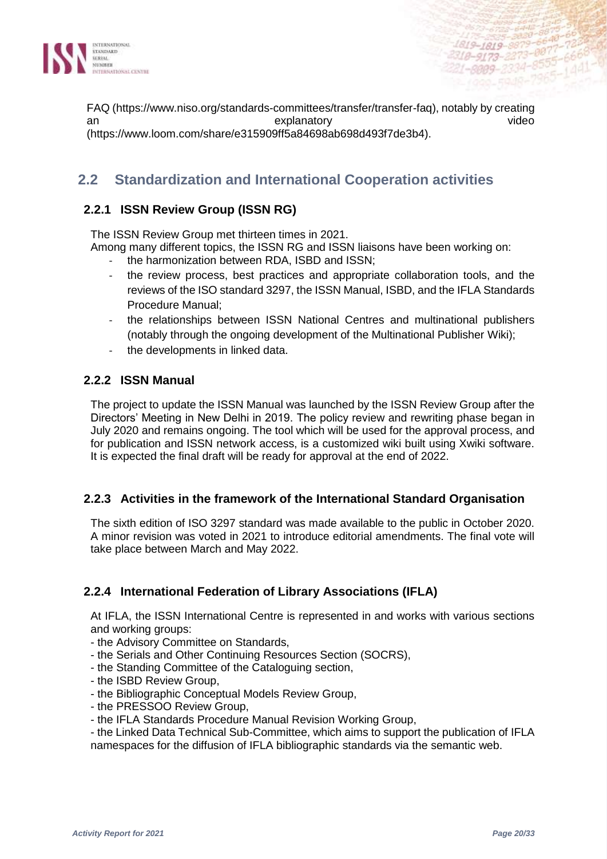

FAQ (https://www.niso.org/standards-committees/transfer/transfer-faq), notably by creating an explanatory (https://www.loom.com/share/e315909ff5a84698ab698d493f7de3b4).

## **2.2 Standardization and International Cooperation activities**

## **2.2.1 ISSN Review Group (ISSN RG)**

The ISSN Review Group met thirteen times in 2021.

- Among many different topics, the ISSN RG and ISSN liaisons have been working on:
	- the harmonization between RDA, ISBD and ISSN;
	- the review process, best practices and appropriate collaboration tools, and the reviews of the ISO standard 3297, the ISSN Manual, ISBD, and the IFLA Standards Procedure Manual;
	- the relationships between ISSN National Centres and multinational publishers (notably through the ongoing development of the Multinational Publisher Wiki);
	- the developments in linked data.

## **2.2.2 ISSN Manual**

The project to update the ISSN Manual was launched by the ISSN Review Group after the Directors' Meeting in New Delhi in 2019. The policy review and rewriting phase began in July 2020 and remains ongoing. The tool which will be used for the approval process, and for publication and ISSN network access, is a customized wiki built using Xwiki software. It is expected the final draft will be ready for approval at the end of 2022.

## **2.2.3 Activities in the framework of the International Standard Organisation**

The sixth edition of ISO 3297 standard was made available to the public in October 2020. A minor revision was voted in 2021 to introduce editorial amendments. The final vote will take place between March and May 2022.

## **2.2.4 International Federation of Library Associations (IFLA)**

At IFLA, the ISSN International Centre is represented in and works with various sections and working groups:

- the Advisory Committee on Standards,
- the Serials and Other Continuing Resources Section (SOCRS),
- the Standing Committee of the Cataloguing section,
- the ISBD Review Group,
- the Bibliographic Conceptual Models Review Group,
- the PRESSOO Review Group,
- the IFLA Standards Procedure Manual Revision Working Group,

- the Linked Data Technical Sub-Committee, which aims to support the publication of IFLA namespaces for the diffusion of IFLA bibliographic standards via the semantic web.

1819-1819-8879-6640<br>2318-9173-2273-0877-72<br>2318-9173-2273-8555-66

1-8009-2334-

 $-8555 - 666$ 

 $(44)$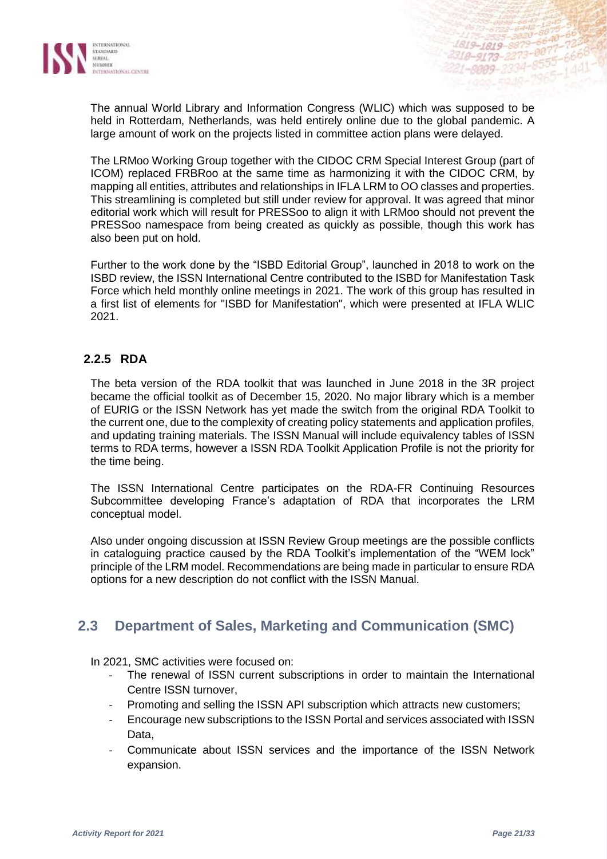

The annual World Library and Information Congress (WLIC) which was supposed to be held in Rotterdam, Netherlands, was held entirely online due to the global pandemic. A large amount of work on the projects listed in committee action plans were delayed.

The LRMoo Working Group together with the CIDOC CRM Special Interest Group (part of ICOM) replaced FRBRoo at the same time as harmonizing it with the CIDOC CRM, by mapping all entities, attributes and relationships in IFLA LRM to OO classes and properties. This streamlining is completed but still under review for approval. It was agreed that minor editorial work which will result for PRESSoo to align it with LRMoo should not prevent the PRESSoo namespace from being created as quickly as possible, though this work has also been put on hold.

Further to the work done by the "ISBD Editorial Group", launched in 2018 to work on the ISBD review, the ISSN International Centre contributed to the ISBD for Manifestation Task Force which held monthly online meetings in 2021. The work of this group has resulted in a first list of elements for "ISBD for Manifestation", which were presented at IFLA WLIC 2021.

## **2.2.5 RDA**

The beta version of the RDA toolkit that was launched in June 2018 in the 3R project became the official toolkit as of December 15, 2020. No major library which is a member of EURIG or the ISSN Network has yet made the switch from the original RDA Toolkit to the current one, due to the complexity of creating policy statements and application profiles, and updating training materials. The ISSN Manual will include equivalency tables of ISSN terms to RDA terms, however a ISSN RDA Toolkit Application Profile is not the priority for the time being.

The ISSN International Centre participates on the RDA-FR Continuing Resources Subcommittee developing France's adaptation of RDA that incorporates the LRM conceptual model.

Also under ongoing discussion at ISSN Review Group meetings are the possible conflicts in cataloguing practice caused by the RDA Toolkit's implementation of the "WEM lock" principle of the LRM model. Recommendations are being made in particular to ensure RDA options for a new description do not conflict with the ISSN Manual.

## **2.3 Department of Sales, Marketing and Communication (SMC)**

In 2021, SMC activities were focused on:

- The renewal of ISSN current subscriptions in order to maintain the International Centre ISSN turnover,
- Promoting and selling the ISSN API subscription which attracts new customers;
- Encourage new subscriptions to the ISSN Portal and services associated with ISSN Data,
- Communicate about ISSN services and the importance of the ISSN Network expansion.

1819-1819-8879

 $-0999 - 2334$ 

2318-9173-2273-0077

 $.8555$ 

 $144$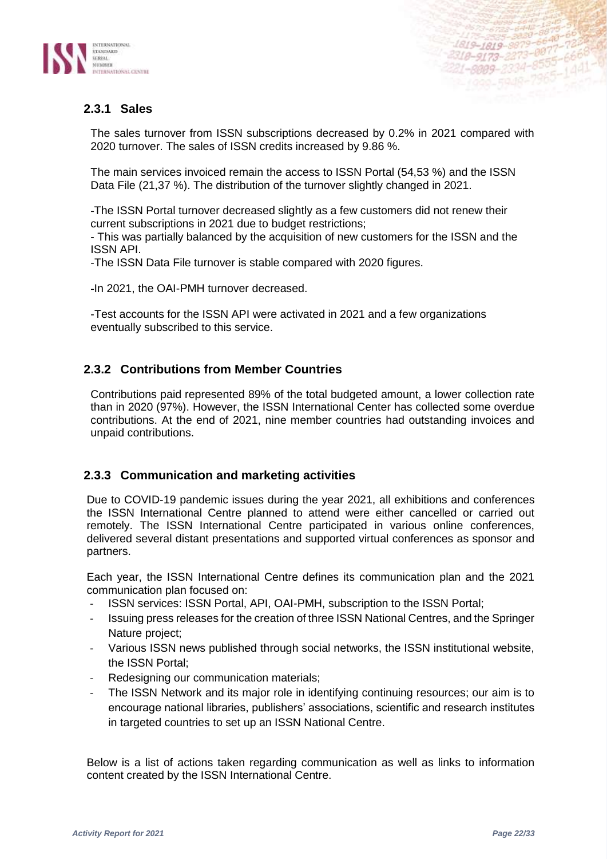



The sales turnover from ISSN subscriptions decreased by 0.2% in 2021 compared with 2020 turnover. The sales of ISSN credits increased by 9.86 %.

The main services invoiced remain the access to ISSN Portal (54,53 %) and the ISSN Data File (21,37 %). The distribution of the turnover slightly changed in 2021.

-The ISSN Portal turnover decreased slightly as a few customers did not renew their current subscriptions in 2021 due to budget restrictions;

- This was partially balanced by the acquisition of new customers for the ISSN and the ISSN API.

-The ISSN Data File turnover is stable compared with 2020 figures.

-In 2021, the OAI-PMH turnover decreased.

-Test accounts for the ISSN API were activated in 2021 and a few organizations eventually subscribed to this service.

## **2.3.2 Contributions from Member Countries**

Contributions paid represented 89% of the total budgeted amount, a lower collection rate than in 2020 (97%). However, the ISSN International Center has collected some overdue contributions. At the end of 2021, nine member countries had outstanding invoices and unpaid contributions.

#### **2.3.3 Communication and marketing activities**

Due to COVID-19 pandemic issues during the year 2021, all exhibitions and conferences the ISSN International Centre planned to attend were either cancelled or carried out remotely. The ISSN International Centre participated in various online conferences, delivered several distant presentations and supported virtual conferences as sponsor and partners.

Each year, the ISSN International Centre defines its communication plan and the 2021 communication plan focused on:

- ISSN services: ISSN Portal, API, OAI-PMH, subscription to the ISSN Portal;
- Issuing press releases for the creation of three ISSN National Centres, and the Springer Nature project;
- Various ISSN news published through social networks, the ISSN institutional website, the ISSN Portal;
- Redesigning our communication materials;
- The ISSN Network and its major role in identifying continuing resources; our aim is to encourage national libraries, publishers' associations, scientific and research institutes in targeted countries to set up an ISSN National Centre.

Below is a list of actions taken regarding communication as well as links to information content created by the ISSN International Centre.

 $-8875 - 66$ 

2555-6801-

1819-1819-8879-6640-723<br>2318-9173-2273-0077-7266<br>2318-9173-2223-8555-666

als-1819-8873-0877-78668<br>18-9173-2273-0877-6668<br>1-8009-2334-8555-1441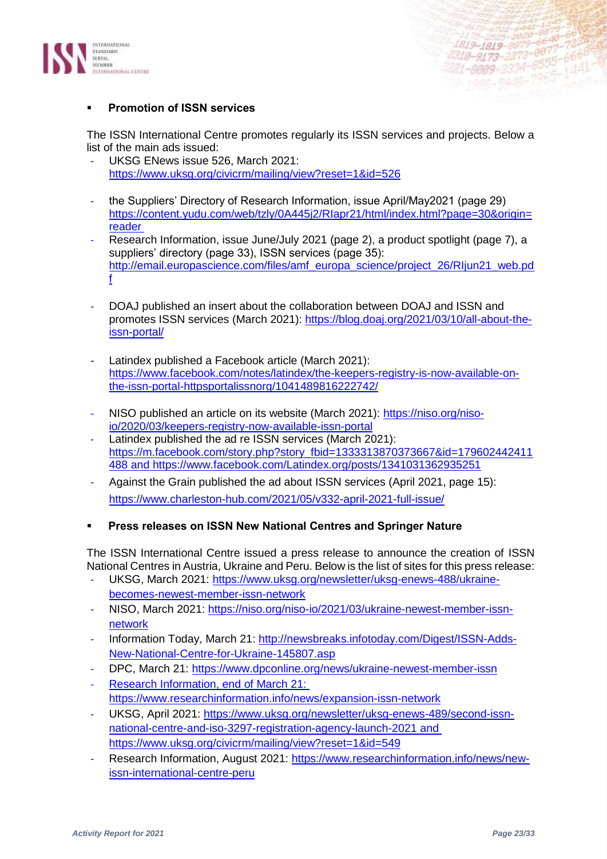

#### **Promotion of ISSN services**

The ISSN International Centre promotes regularly its ISSN services and projects. Below a list of the main ads issued:

- UKSG ENews issue 526, March 2021: <https://www.uksg.org/civicrm/mailing/view?reset=1&id=526>
- the Suppliers' Directory of Research Information, issue April/May2021 (page 29) [https://content.yudu.com/web/tzly/0A445j2/RIapr21/html/index.html?page=30&origin=](https://content.yudu.com/web/tzly/0A445j2/RIapr21/html/index.html?page=30&origin=reader) [reader](https://content.yudu.com/web/tzly/0A445j2/RIapr21/html/index.html?page=30&origin=reader)
- Research Information, issue June/July 2021 (page 2), a product spotlight (page 7), a suppliers' directory (page 33), ISSN services (page 35): [http://email.europascience.com/files/amf\\_europa\\_science/project\\_26/RIjun21\\_web.pd](http://email.europascience.com/files/amf_europa_science/project_26/RIjun21_web.pdf) [f](http://email.europascience.com/files/amf_europa_science/project_26/RIjun21_web.pdf)
- DOAJ published an insert about the collaboration between DOAJ and ISSN and promotes ISSN services (March 2021): [https://blog.doaj.org/2021/03/10/all-about-the](https://blog.doaj.org/2021/03/10/all-about-the-issn-portal/)[issn-portal/](https://blog.doaj.org/2021/03/10/all-about-the-issn-portal/)
- Latindex published a Facebook article (March 2021): [https://www.facebook.com/notes/latindex/the-keepers-registry-is-now-available-on](https://www.facebook.com/notes/latindex/the-keepers-registry-is-now-available-on-the-issn-portal-httpsportalissnorg/1041489816222742/)[the-issn-portal-httpsportalissnorg/1041489816222742/](https://www.facebook.com/notes/latindex/the-keepers-registry-is-now-available-on-the-issn-portal-httpsportalissnorg/1041489816222742/)
- NISO published an article on its website (March 2021): [https://niso.org/niso](https://niso.org/niso-io/2020/03/keepers-registry-now-available-issn-portal)[io/2020/03/keepers-registry-now-available-issn-portal](https://niso.org/niso-io/2020/03/keepers-registry-now-available-issn-portal)
- Latindex published the ad re ISSN services (March 2021): [https://m.facebook.com/story.php?story\\_fbid=1333313870373667&id=179602442411](https://m.facebook.com/story.php?story_fbid=1333313870373667&id=179602442411488) [488](https://m.facebook.com/story.php?story_fbid=1333313870373667&id=179602442411488) and<https://www.facebook.com/Latindex.org/posts/1341031362935251>
- Against the Grain published the ad about ISSN services (April 2021, page 15): <https://www.charleston-hub.com/2021/05/v332-april-2021-full-issue/>
- **Press releases on ISSN New National Centres and Springer Nature**

The ISSN International Centre issued a press release to announce the creation of ISSN National Centres in Austria, Ukraine and Peru. Below is the list of sites for this press release:

- UKSG, March 2021: [https://www.uksg.org/newsletter/uksg-enews-488/ukraine](https://www.uksg.org/newsletter/uksg-enews-488/ukraine-becomes-newest-member-issn-network)[becomes-newest-member-issn-network](https://www.uksg.org/newsletter/uksg-enews-488/ukraine-becomes-newest-member-issn-network)
- NISO, March 2021: [https://niso.org/niso-io/2021/03/ukraine-newest-member-issn](https://niso.org/niso-io/2021/03/ukraine-newest-member-issn-network)[network](https://niso.org/niso-io/2021/03/ukraine-newest-member-issn-network)
- Information Today, March 21: [http://newsbreaks.infotoday.com/Digest/ISSN-Adds-](http://newsbreaks.infotoday.com/Digest/ISSN-Adds-New-National-Centre-for-Ukraine-145807.asp)[New-National-Centre-for-Ukraine-145807.asp](http://newsbreaks.infotoday.com/Digest/ISSN-Adds-New-National-Centre-for-Ukraine-145807.asp)
- DPC, March 21:<https://www.dpconline.org/news/ukraine-newest-member-issn>
- Research Information, end of March 21: <https://www.researchinformation.info/news/expansion-issn-network>
- UKSG, April 2021: [https://www.uksg.org/newsletter/uksg-enews-489/second-issn](https://www.uksg.org/newsletter/uksg-enews-489/second-issn-national-centre-and-iso-3297-registration-agency-launch-2021)[national-centre-and-iso-3297-registration-agency-launch-2021](https://www.uksg.org/newsletter/uksg-enews-489/second-issn-national-centre-and-iso-3297-registration-agency-launch-2021) and <https://www.uksg.org/civicrm/mailing/view?reset=1&id=549>
- Research Information, August 2021: [https://www.researchinformation.info/news/new](https://www.researchinformation.info/news/new-issn-international-centre-peru)[issn-international-centre-peru](https://www.researchinformation.info/news/new-issn-international-centre-peru)

4819-1819-8879-6648-66 1819-1819-8879-6640-00337<br>-1819-1819-8879-6647-7838<br>-2318-9173-2273-0077-6668

1819–1819–8879–8877–78<br>318–9173–2273–8877–6668<br>21–8009–2334–8555–1441

**18-9173-2273-8655-6666**<br>1-8009-2334-8555-6666<br>-1999-5948-7965-1441-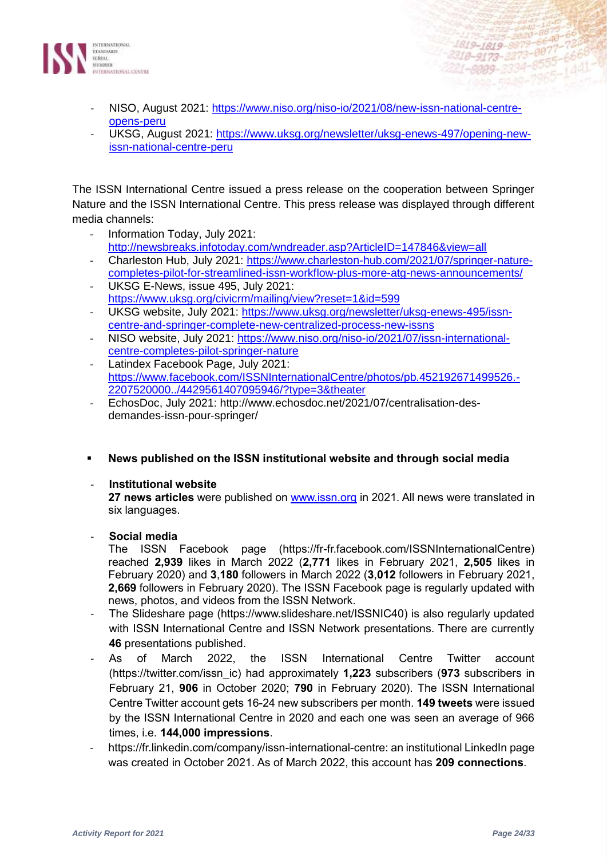

- NISO, August 2021: [https://www.niso.org/niso-io/2021/08/new-issn-national-centre](https://www.niso.org/niso-io/2021/08/new-issn-national-centre-opens-peru)[opens-peru](https://www.niso.org/niso-io/2021/08/new-issn-national-centre-opens-peru)
- UKSG, August 2021: [https://www.uksg.org/newsletter/uksg-enews-497/opening-new](https://www.uksg.org/newsletter/uksg-enews-497/opening-new-issn-national-centre-peru)[issn-national-centre-peru](https://www.uksg.org/newsletter/uksg-enews-497/opening-new-issn-national-centre-peru)

The ISSN International Centre issued a press release on the cooperation between Springer Nature and the ISSN International Centre. This press release was displayed through different media channels:

- Information Today, July 2021: <http://newsbreaks.infotoday.com/wndreader.asp?ArticleID=147846&view=all>
- Charleston Hub, July 2021: [https://www.charleston-hub.com/2021/07/springer-nature](https://www.charleston-hub.com/2021/07/springer-nature-completes-pilot-for-streamlined-issn-workflow-plus-more-atg-news-announcements/)[completes-pilot-for-streamlined-issn-workflow-plus-more-atg-news-announcements/](https://www.charleston-hub.com/2021/07/springer-nature-completes-pilot-for-streamlined-issn-workflow-plus-more-atg-news-announcements/) UKSG E-News, issue 495, July 2021:
- <https://www.uksg.org/civicrm/mailing/view?reset=1&id=599> UKSG website, July 2021: [https://www.uksg.org/newsletter/uksg-enews-495/issn-](https://www.uksg.org/newsletter/uksg-enews-495/issn-centre-and-springer-complete-new-centralized-process-new-issns)
- [centre-and-springer-complete-new-centralized-process-new-issns](https://www.uksg.org/newsletter/uksg-enews-495/issn-centre-and-springer-complete-new-centralized-process-new-issns) - NISO website, July 2021: [https://www.niso.org/niso-io/2021/07/issn-international-](https://www.niso.org/niso-io/2021/07/issn-international-centre-completes-pilot-springer-nature)
- [centre-completes-pilot-springer-nature](https://www.niso.org/niso-io/2021/07/issn-international-centre-completes-pilot-springer-nature) Latindex Facebook Page, July 2021: [https://www.facebook.com/ISSNInternationalCentre/photos/pb.452192671499526.-](https://www.facebook.com/ISSNInternationalCentre/photos/pb.452192671499526.-2207520000../4429561407095946/?type=3&theater) [2207520000../4429561407095946/?type=3&theater](https://www.facebook.com/ISSNInternationalCentre/photos/pb.452192671499526.-2207520000../4429561407095946/?type=3&theater)
- EchosDoc, July 2021: http://www.echosdoc.net/2021/07/centralisation-desdemandes-issn-pour-springer/
- **News published on the ISSN institutional website and through social media**

#### - **Institutional website**

**27 news articles** were published on [www.issn.org](http://www.issn.org/) in 2021. All news were translated in six languages.

#### - **Social media**

The ISSN Facebook page (https://fr-fr.facebook.com/ISSNInternationalCentre) reached **2,939** likes in March 2022 (**2,771** likes in February 2021, **2,505** likes in February 2020) and **3**,**180** followers in March 2022 (**3**,**012** followers in February 2021, **2,669** followers in February 2020). The ISSN Facebook page is regularly updated with news, photos, and videos from the ISSN Network.

- The Slideshare page (https://www.slideshare.net/ISSNIC40) is also regularly updated with ISSN International Centre and ISSN Network presentations. There are currently **46** presentations published.
- As of March 2022, the ISSN International Centre Twitter account [\(https://twitter.com/issn\\_ic\)](https://twitter.com/issn_ic) had approximately **1,223** subscribers (**973** subscribers in February 21, **906** in October 2020; **790** in February 2020). The ISSN International Centre Twitter account gets 16-24 new subscribers per month. **149 tweets** were issued by the ISSN International Centre in 2020 and each one was seen an average of 966 times, i.e. **144,000 impressions**.
- [https://fr.linkedin.com/company/issn-international-centre:](https://fr.linkedin.com/company/issn-international-centre) an institutional LinkedIn page was created in October 2021. As of March 2022, this account has **209 connections**.

6640

1819-1819-8879-6640-723<br>2318-9173-2273-0077-7266<br>2318-9173-2223-8555-666

als-1819-8873-0077-7866<br>18-9173-2273-0077-6668<br>1-8009-2334-8555-1441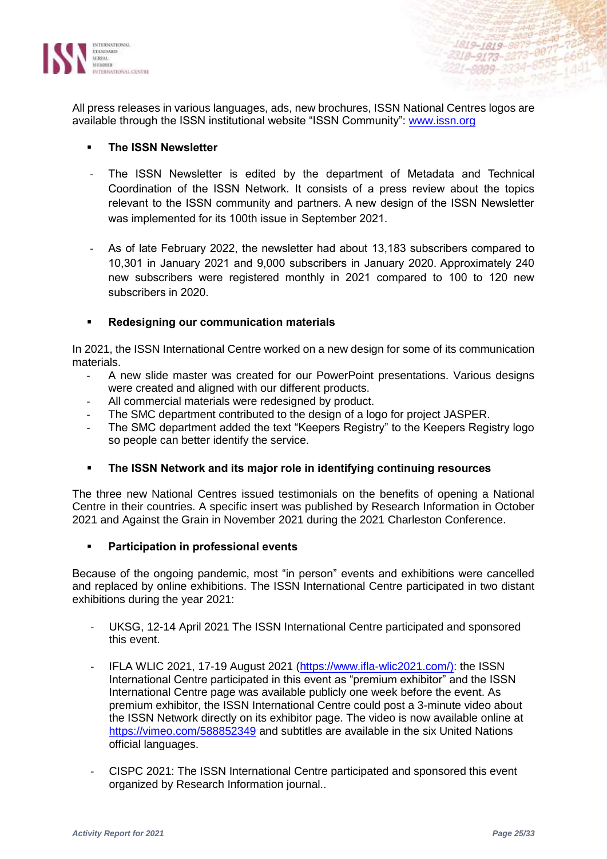

All press releases in various languages, ads, new brochures, ISSN National Centres logos are available through the ISSN institutional website "ISSN Community": [www.issn.org](http://www.issn.org/)

#### **The ISSN Newsletter**

- The ISSN Newsletter is edited by the department of Metadata and Technical Coordination of the ISSN Network. It consists of a press review about the topics relevant to the ISSN community and partners. A new design of the ISSN Newsletter was implemented for its 100th issue in September 2021.
- As of late February 2022, the newsletter had about 13,183 subscribers compared to 10,301 in January 2021 and 9,000 subscribers in January 2020. Approximately 240 new subscribers were registered monthly in 2021 compared to 100 to 120 new subscribers in 2020.

#### ▪ **Redesigning our communication materials**

In 2021, the ISSN International Centre worked on a new design for some of its communication materials.

- A new slide master was created for our PowerPoint presentations. Various designs were created and aligned with our different products.
- All commercial materials were redesigned by product.
- The SMC department contributed to the design of a logo for project JASPER.
- The SMC department added the text "Keepers Registry" to the Keepers Registry logo so people can better identify the service.

#### ▪ **The ISSN Network and its major role in identifying continuing resources**

The three new National Centres issued testimonials on the benefits of opening a National Centre in their countries. A specific insert was published by Research Information in October 2021 and Against the Grain in November 2021 during the 2021 Charleston Conference.

#### **Participation in professional events**

Because of the ongoing pandemic, most "in person" events and exhibitions were cancelled and replaced by online exhibitions. The ISSN International Centre participated in two distant exhibitions during the year 2021:

- UKSG, 12-14 April 2021 The ISSN International Centre participated and sponsored this event.
- IFLA WLIC 2021, 17-19 August 2021 [\(https://www.ifla-wlic2021.com/\)](https://www.ifla-wlic2021.com/): the ISSN International Centre participated in this event as "premium exhibitor" and the ISSN International Centre page was available publicly one week before the event. As premium exhibitor, the ISSN International Centre could post a 3-minute video about the ISSN Network directly on its exhibitor page. The video is now available online at <https://vimeo.com/588852349> and subtitles are available in the six United Nations official languages.
- CISPC 2021: The ISSN International Centre participated and sponsored this event organized by Research Information journal..

1819-1819-8879

 $1 - 8999 - 2334$ 

2318-9173-2273-0077-

 $-007$ 

 $(44)$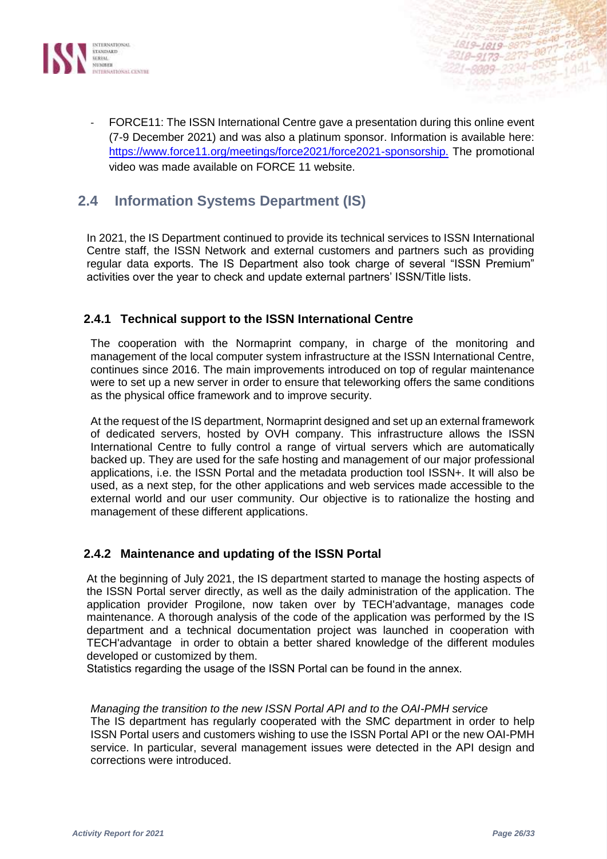

FORCE11: The ISSN International Centre gave a presentation during this online event (7-9 December 2021) and was also a platinum sponsor. Information is available here: [https://www.force11.org/meetings/force2021/force2021-sponsorship.](https://www.force11.org/meetings/force2021/force2021-sponsorship) The promotional video was made available on FORCE 11 website.

## **2.4 Information Systems Department (IS)**

In 2021, the IS Department continued to provide its technical services to ISSN International Centre staff, the ISSN Network and external customers and partners such as providing regular data exports. The IS Department also took charge of several "ISSN Premium" activities over the year to check and update external partners' ISSN/Title lists.

## **2.4.1 Technical support to the ISSN International Centre**

The cooperation with the Normaprint company, in charge of the monitoring and management of the local computer system infrastructure at the ISSN International Centre, continues since 2016. The main improvements introduced on top of regular maintenance were to set up a new server in order to ensure that teleworking offers the same conditions as the physical office framework and to improve security.

At the request of the IS department, Normaprint designed and set up an external framework of dedicated servers, hosted by OVH company. This infrastructure allows the ISSN International Centre to fully control a range of virtual servers which are automatically backed up. They are used for the safe hosting and management of our major professional applications, i.e. the ISSN Portal and the metadata production tool ISSN+. It will also be used, as a next step, for the other applications and web services made accessible to the external world and our user community. Our objective is to rationalize the hosting and management of these different applications.

#### **2.4.2 Maintenance and updating of the ISSN Portal**

At the beginning of July 2021, the IS department started to manage the hosting aspects of the ISSN Portal server directly, as well as the daily administration of the application. The application provider Progilone, now taken over by TECH'advantage, manages code maintenance. A thorough analysis of the code of the application was performed by the IS department and a technical documentation project was launched in cooperation with TECH'advantage in order to obtain a better shared knowledge of the different modules developed or customized by them.

Statistics regarding the usage of the ISSN Portal can be found in the annex.

#### *Managing the transition to the new ISSN Portal API and to the OAI-PMH service*

The IS department has regularly cooperated with the SMC department in order to help ISSN Portal users and customers wishing to use the ISSN Portal API or the new OAI-PMH service. In particular, several management issues were detected in the API design and corrections were introduced.

 $-8875 - 66$ 

 $7965 - 1441$ 

1819-1819-8879-6640-723

18-9173-2273-0877-72-0<br>18-9173-2273-0877-6668<br>1-8009-2334-8555-1441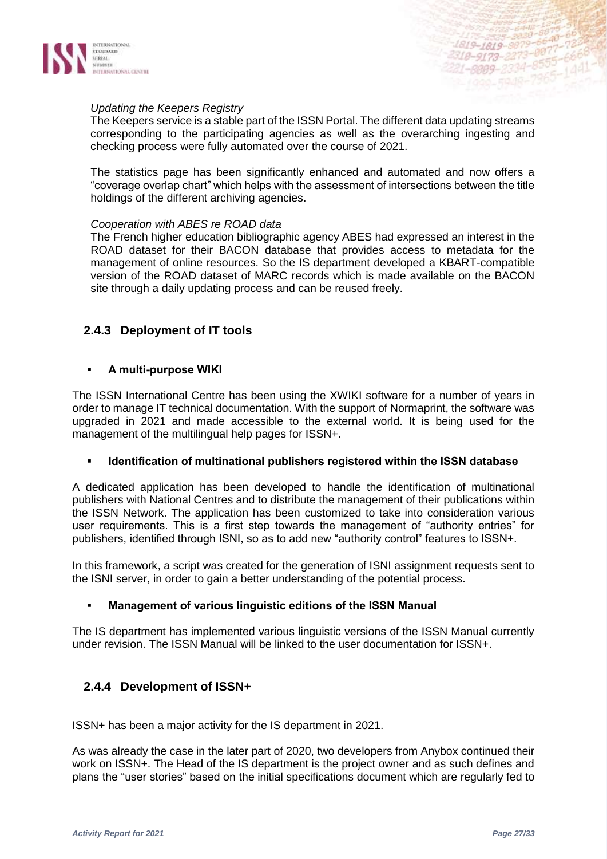

#### *Updating the Keepers Registry*

The Keepers service is a stable part of the ISSN Portal. The different data updating streams corresponding to the participating agencies as well as the overarching ingesting and checking process were fully automated over the course of 2021.

The statistics page has been significantly enhanced and automated and now offers a "coverage overlap chart" which helps with the assessment of intersections between the title holdings of the different archiving agencies.

#### *Cooperation with ABES re ROAD data*

The French higher education bibliographic agency ABES had expressed an interest in the ROAD dataset for their BACON database that provides access to metadata for the management of online resources. So the IS department developed a KBART-compatible version of the ROAD dataset of MARC records which is made available on the BACON site through a daily updating process and can be reused freely.

## **2.4.3 Deployment of IT tools**

#### ▪ **A multi-purpose WIKI**

The ISSN International Centre has been using the XWIKI software for a number of years in order to manage IT technical documentation. With the support of Normaprint, the software was upgraded in 2021 and made accessible to the external world. It is being used for the management of the multilingual help pages for ISSN+.

#### ▪ **Identification of multinational publishers registered within the ISSN database**

A dedicated application has been developed to handle the identification of multinational publishers with National Centres and to distribute the management of their publications within the ISSN Network. The application has been customized to take into consideration various user requirements. This is a first step towards the management of "authority entries" for publishers, identified through ISNI, so as to add new "authority control" features to ISSN+.

In this framework, a script was created for the generation of ISNI assignment requests sent to the ISNI server, in order to gain a better understanding of the potential process.

#### ▪ **Management of various linguistic editions of the ISSN Manual**

The IS department has implemented various linguistic versions of the ISSN Manual currently under revision. The ISSN Manual will be linked to the user documentation for ISSN+.

#### **2.4.4 Development of ISSN+**

ISSN+ has been a major activity for the IS department in 2021.

As was already the case in the later part of 2020, two developers from Anybox continued their work on ISSN+. The Head of the IS department is the project owner and as such defines and plans the "user stories" based on the initial specifications document which are regularly fed to

 $-8875 - 66$ 

8555-1441

1819-1819-8879-6640-723<br>318-9173-2273-0077-7256<br>318-9173-2220-8555-666

43-1819-2273-0077-1668<br>10-9173-2273-0077-6668<br>1-8009-2334-8555-1441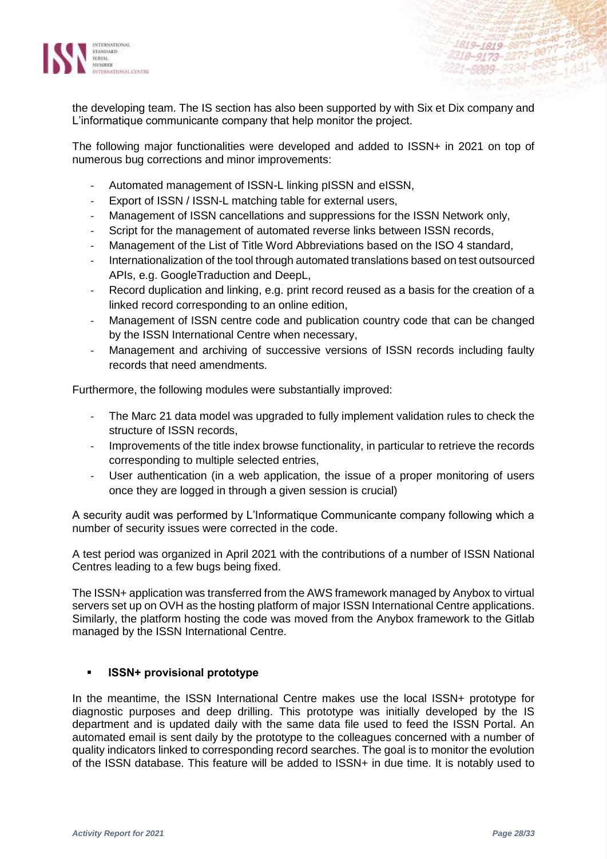

the developing team. The IS section has also been supported by with Six et Dix company and L'informatique communicante company that help monitor the project.

The following major functionalities were developed and added to ISSN+ in 2021 on top of numerous bug corrections and minor improvements:

- Automated management of ISSN-L linking pISSN and eISSN,
- Export of ISSN / ISSN-L matching table for external users,
- Management of ISSN cancellations and suppressions for the ISSN Network only,
- Script for the management of automated reverse links between ISSN records,
- Management of the List of Title Word Abbreviations based on the ISO 4 standard,
- Internationalization of the tool through automated translations based on test outsourced APIs, e.g. GoogleTraduction and DeepL,
- Record duplication and linking, e.g. print record reused as a basis for the creation of a linked record corresponding to an online edition,
- Management of ISSN centre code and publication country code that can be changed by the ISSN International Centre when necessary,
- Management and archiving of successive versions of ISSN records including faulty records that need amendments.

Furthermore, the following modules were substantially improved:

- The Marc 21 data model was upgraded to fully implement validation rules to check the structure of ISSN records,
- Improvements of the title index browse functionality, in particular to retrieve the records corresponding to multiple selected entries,
- User authentication (in a web application, the issue of a proper monitoring of users once they are logged in through a given session is crucial)

A security audit was performed by L'Informatique Communicante company following which a number of security issues were corrected in the code.

A test period was organized in April 2021 with the contributions of a number of ISSN National Centres leading to a few bugs being fixed.

The ISSN+ application was transferred from the AWS framework managed by Anybox to virtual servers set up on OVH as the hosting platform of major ISSN International Centre applications. Similarly, the platform hosting the code was moved from the Anybox framework to the Gitlab managed by the ISSN International Centre.

#### ▪ **ISSN+ provisional prototype**

In the meantime, the ISSN International Centre makes use the local ISSN+ prototype for diagnostic purposes and deep drilling. This prototype was initially developed by the IS department and is updated daily with the same data file used to feed the ISSN Portal. An automated email is sent daily by the prototype to the colleagues concerned with a number of quality indicators linked to corresponding record searches. The goal is to monitor the evolution of the ISSN database. This feature will be added to ISSN+ in due time. It is notably used to

1819-1819-8879 2318-9173-2273-8877

 $1 - 8999 - 2334$ 

 $(44)$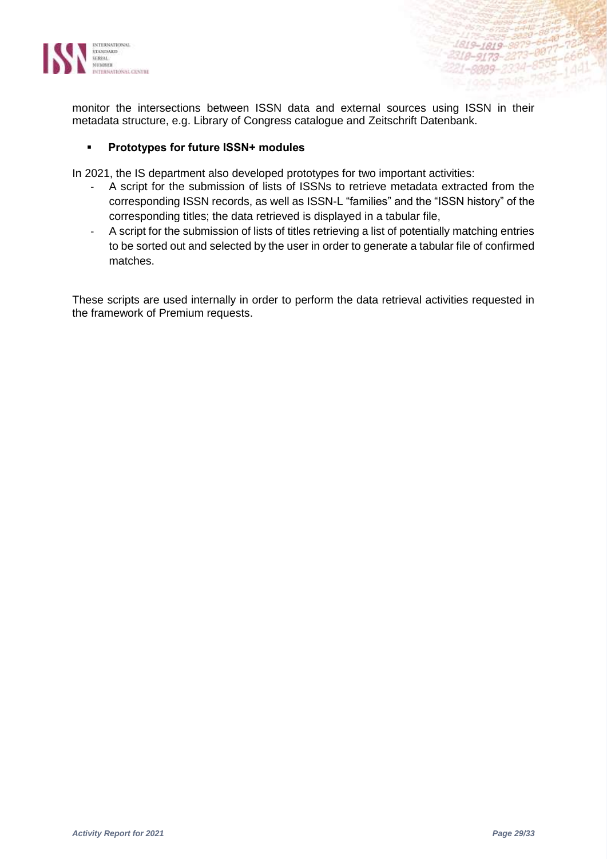

monitor the intersections between ISSN data and external sources using ISSN in their metadata structure, e.g. Library of Congress catalogue and Zeitschrift Datenbank.

#### ▪ **Prototypes for future ISSN+ modules**

In 2021, the IS department also developed prototypes for two important activities:

- A script for the submission of lists of ISSNs to retrieve metadata extracted from the corresponding ISSN records, as well as ISSN-L "families" and the "ISSN history" of the corresponding titles; the data retrieved is displayed in a tabular file,
- A script for the submission of lists of titles retrieving a list of potentially matching entries to be sorted out and selected by the user in order to generate a tabular file of confirmed matches.

These scripts are used internally in order to perform the data retrieval activities requested in the framework of Premium requests.

6640

 $-8555 - 680$ 

1819-1819-8879-6640-72

318-9173-2273-0077-666<br>21-8009-2334-8555-666<br>21-8009-2334-8555-144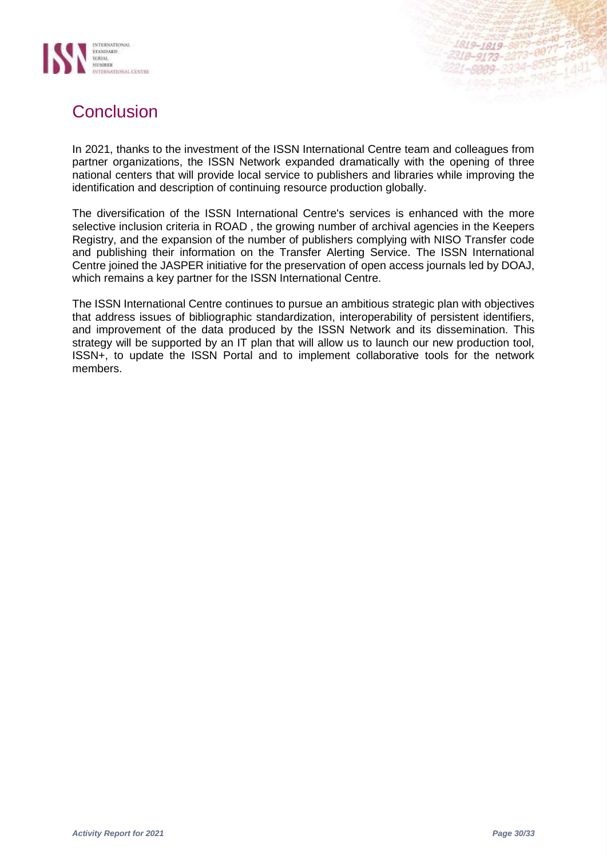



In 2021, thanks to the investment of the ISSN International Centre team and colleagues from partner organizations, the ISSN Network expanded dramatically with the opening of three national centers that will provide local service to publishers and libraries while improving the identification and description of continuing resource production globally.

The diversification of the ISSN International Centre's services is enhanced with the more selective inclusion criteria in ROAD , the growing number of archival agencies in the Keepers Registry, and the expansion of the number of publishers complying with NISO Transfer code and publishing their information on the Transfer Alerting Service. The ISSN International Centre joined the JASPER initiative for the preservation of open access journals led by DOAJ, which remains a key partner for the ISSN International Centre.

The ISSN International Centre continues to pursue an ambitious strategic plan with objectives that address issues of bibliographic standardization, interoperability of persistent identifiers, and improvement of the data produced by the ISSN Network and its dissemination. This strategy will be supported by an IT plan that will allow us to launch our new production tool, ISSN+, to update the ISSN Portal and to implement collaborative tools for the network members.

1819-1819-987

18-9173-22

 $-007$ 

 $-007$   $-666$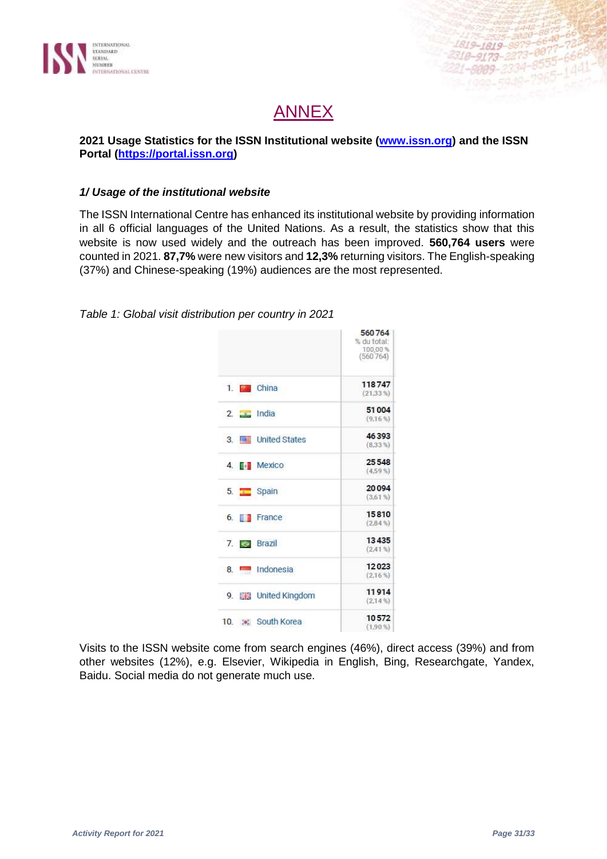

## **ANNEX**

## **2021 Usage Statistics for the ISSN Institutional website [\(www.issn.org\)](http://www.issn.org/) and the ISSN Portal [\(https://portal.issn.org\)](https://portal.issn.org/)**

### *1/ Usage of the institutional website*

The ISSN International Centre has enhanced its institutional website by providing information in all 6 official languages of the United Nations. As a result, the statistics show that this website is now used widely and the outreach has been improved. **560,764 users** were counted in 2021. **87,7%** were new visitors and **12,3%** returning visitors. The English-speaking (37%) and Chinese-speaking (19%) audiences are the most represented.

*Table 1: Global visit distribution per country in 2021*

|                                 | 560764<br>% du total:<br>100,00%<br>(560764) |
|---------------------------------|----------------------------------------------|
| 1. China                        | 118747<br>(21,33%                            |
| $2 \quad \Box$ India            | 51004<br>(9.16%                              |
| 3 <b>Exercise United States</b> | 46393<br>(8,33%                              |
| 4. <b>F</b> Mexico              | 25548<br>(4.59%                              |
| 5. Spain                        | 20094<br>(3,61%                              |
| 6. <b>France</b>                | 15810<br>(2.84%                              |
| 7. <b>S</b> Brazil              | 13435<br>(2,41%                              |
| 8. Indonesia                    | 12023<br>(2,16%                              |
| 9. Eng United Kingdom           | 11914<br>(2.14%                              |
| 10. : South Korea               | 10572<br>(1.90%                              |

Visits to the ISSN website come from search engines (46%), direct access (39%) and from other websites (12%), e.g. Elsevier, Wikipedia in English, Bing, Researchgate, Yandex, Baidu. Social media do not generate much use.

1819-1819-887

18-9173-22

 $-007$ 867<br>8555-666<br>140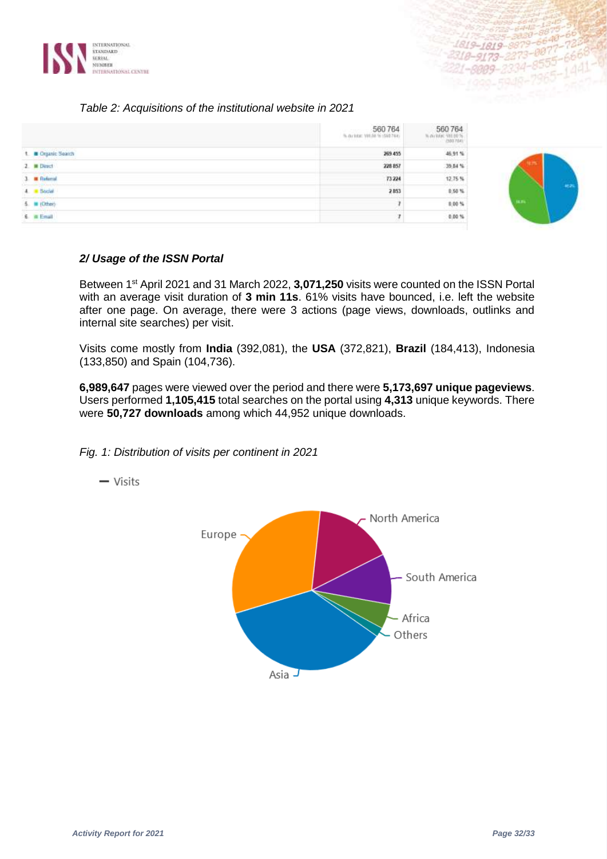

#### *Table 2: Acquisitions of the institutional website in 2021*

|                     | 560764  | 560764<br>A dukter 1911/6% |       |
|---------------------|---------|----------------------------|-------|
| t. Crganic Search   | 269.455 | 46.91%                     |       |
| 2 M Direct          | 228 857 | 39.84 %                    |       |
| 3 <b>E</b> Referral | 73224   | 12.75%                     |       |
| $4. 8$ Social       | 2853    | 0,50%                      | 462   |
| $6.$ = (Other)      |         | 0,00%                      | 38.8% |
| 6 a Enal            |         | 0.00 %                     |       |

#### *2/ Usage of the ISSN Portal*

Between 1<sup>st</sup> April 2021 and 31 March 2022, 3,071,250 visits were counted on the ISSN Portal with an average visit duration of **3 min 11s**. 61% visits have bounced, i.e. left the website after one page. On average, there were 3 actions (page views, downloads, outlinks and internal site searches) per visit.

Visits come mostly from **India** (392,081), the **USA** (372,821), **Brazil** (184,413), Indonesia (133,850) and Spain (104,736).

**6,989,647** pages were viewed over the period and there were **5,173,697 unique pageviews**. Users performed **1,105,415** total searches on the portal using **4,313** unique keywords. There were **50,727 downloads** among which 44,952 unique downloads.

*Fig. 1: Distribution of visits per continent in 2021*



 $-$  Visits

1819-1819-